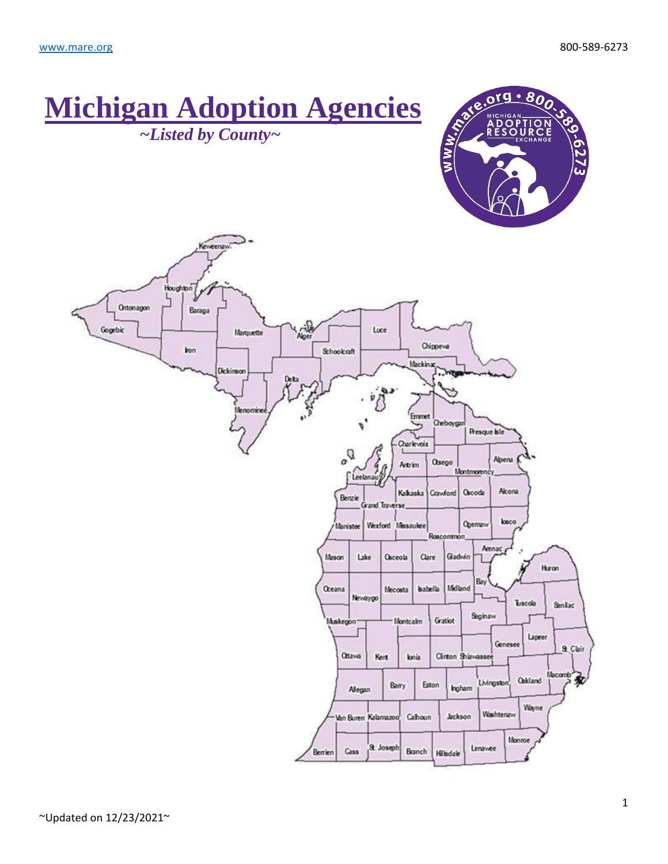



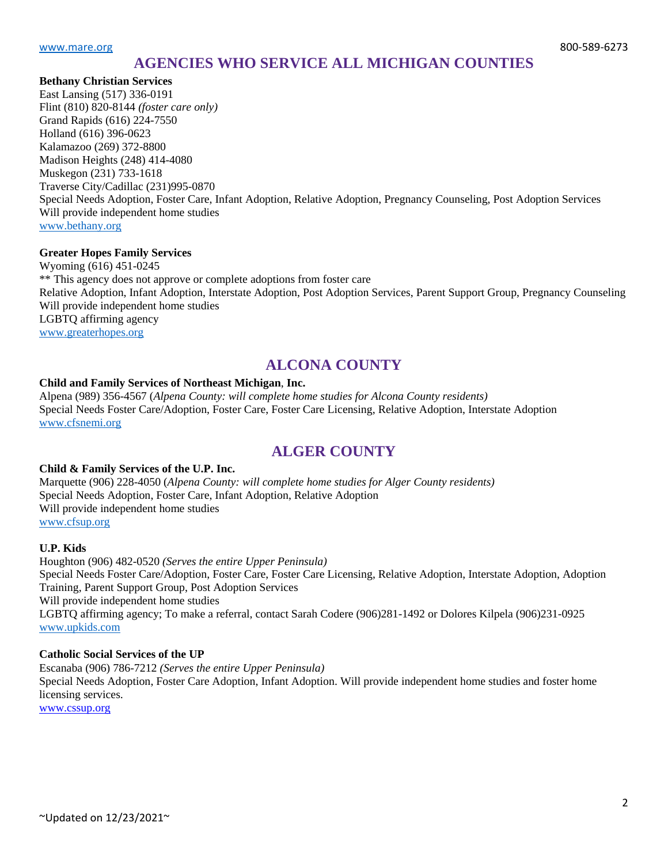# **AGENCIES WHO SERVICE ALL MICHIGAN COUNTIES**

### **Bethany Christian Services**

East Lansing (517) 336-0191 Flint (810) 820-8144 *(foster care only)* Grand Rapids (616) 224-7550 Holland (616) 396-0623 Kalamazoo (269) 372-8800 Madison Heights (248) 414-4080 Muskegon (231) 733-1618 Traverse City/Cadillac (231)995-0870 Special Needs Adoption, Foster Care, Infant Adoption, Relative Adoption, Pregnancy Counseling, Post Adoption Services Will provide independent home studies [www.bethany.org](http://www.bethany.org/)

# **Greater Hopes Family Services**

Wyoming (616) 451-0245 \*\* This agency does not approve or complete adoptions from foster care Relative Adoption, Infant Adoption, Interstate Adoption, Post Adoption Services, Parent Support Group, Pregnancy Counseling Will provide independent home studies LGBTQ affirming agency [www.greaterhopes.org](http://www.greaterhopes.org/)

# **ALCONA COUNTY**

# **Child and Family Services of Northeast Michigan**, **Inc.**

Alpena (989) 356-4567 (*Alpena County: will complete home studies for Alcona County residents)* Special Needs Foster Care/Adoption, Foster Care, Foster Care Licensing, Relative Adoption, Interstate Adoption [www.cfsnemi.org](http://www.cfsnemi.org/)

# **ALGER COUNTY**

# **Child & Family Services of the U.P. Inc.**

Marquette (906) 228-4050 (*Alpena County: will complete home studies for Alger County residents)* Special Needs Adoption, Foster Care, Infant Adoption, Relative Adoption Will provide independent home studies [www.cfsup.org](http://www.cfsup.org/)

# **U.P. Kids**

Houghton (906) 482-0520 *(Serves the entire Upper Peninsula)* Special Needs Foster Care/Adoption, Foster Care, Foster Care Licensing, Relative Adoption, Interstate Adoption, Adoption Training, Parent Support Group, Post Adoption Services Will provide independent home studies LGBTQ affirming agency; To make a referral, contact Sarah Codere (906)281-1492 or Dolores Kilpela (906)231-0925 [www.upkids.com](http://www.upkids.com/)

#### **Catholic Social Services of the UP**

Escanaba (906) 786-7212 *(Serves the entire Upper Peninsula)* Special Needs Adoption, Foster Care Adoption, Infant Adoption. Will provide independent home studies and foster home licensing services. [www.cssup.org](https://urldefense.proofpoint.com/v2/url?u=http-3A__www.cssup.org&d=DwQF-g&c=euGZstcaTDllvimEN8b7jXrwqOf-v5A_CdpgnVfiiMM&r=QmB0e6qn4GS5mBoO3pirSZwLu5aEKcrcW6DV2rHPvsk&m=VF3mxIu_OzLIWiJrJgFFTJCONMUpsccUlqzTMMGuj1I&s=KLbjyGBYmxxRMEBuGv3sI7es8_klyDrKs0Zlc40hwxY&e=)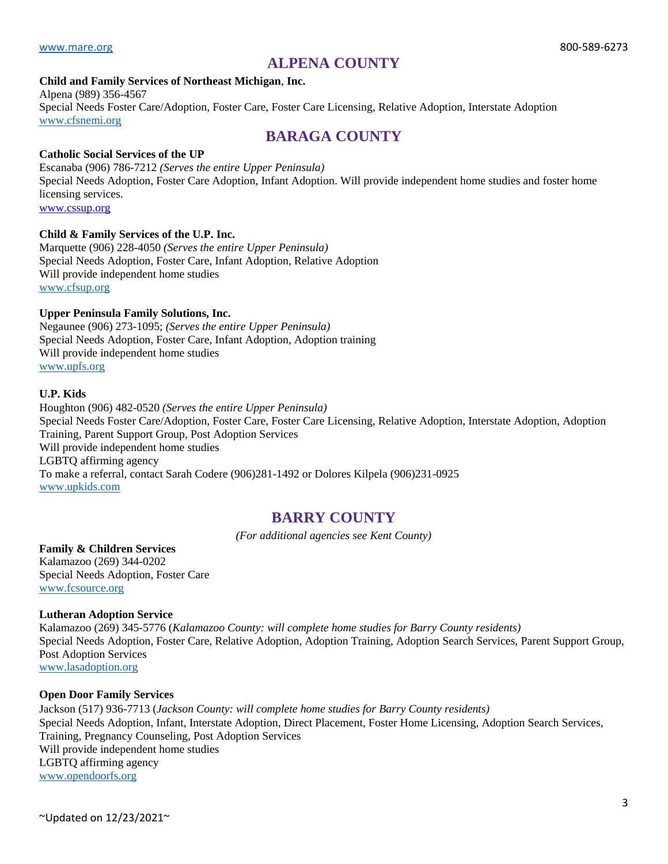# **ALPENA COUNTY**

# **Child and Family Services of Northeast Michigan**, **Inc.**

Alpena (989) 356-4567 Special Needs Foster Care/Adoption, Foster Care, Foster Care Licensing, Relative Adoption, Interstate Adoption [www.cfsnemi.org](http://www.cfsnemi.org/)

# **BARAGA COUNTY**

### **Catholic Social Services of the UP**

Escanaba (906) 786-7212 *(Serves the entire Upper Peninsula)* Special Needs Adoption, Foster Care Adoption, Infant Adoption. Will provide independent home studies and foster home licensing services. [www.cssup.org](https://urldefense.proofpoint.com/v2/url?u=http-3A__www.cssup.org&d=DwQF-g&c=euGZstcaTDllvimEN8b7jXrwqOf-v5A_CdpgnVfiiMM&r=QmB0e6qn4GS5mBoO3pirSZwLu5aEKcrcW6DV2rHPvsk&m=VF3mxIu_OzLIWiJrJgFFTJCONMUpsccUlqzTMMGuj1I&s=KLbjyGBYmxxRMEBuGv3sI7es8_klyDrKs0Zlc40hwxY&e=)

# **Child & Family Services of the U.P. Inc.**

Marquette (906) 228-4050 *(Serves the entire Upper Peninsula)* Special Needs Adoption, Foster Care, Infant Adoption, Relative Adoption Will provide independent home studies [www.cfsup.org](http://www.cfsup.org/)

# **Upper Peninsula Family Solutions, Inc.**

Negaunee (906) 273-1095; *(Serves the entire Upper Peninsula)* Special Needs Adoption, Foster Care, Infant Adoption, Adoption training Will provide independent home studies [www.upfs.org](http://www.upfs.org/)

#### **U.P. Kids**

Houghton (906) 482-0520 *(Serves the entire Upper Peninsula)* Special Needs Foster Care/Adoption, Foster Care, Foster Care Licensing, Relative Adoption, Interstate Adoption, Adoption Training, Parent Support Group, Post Adoption Services Will provide independent home studies LGBTQ affirming agency To make a referral, contact Sarah Codere (906)281-1492 or Dolores Kilpela (906)231-0925 [www.upkids.com](http://www.upkids.com/)

# **BARRY COUNTY**

*(For additional agencies see Kent County)*

# **Family & Children Services**

Kalamazoo (269) 344-0202 Special Needs Adoption, Foster Care [www.fcsource.org](http://www.fcsource.org/)

#### **Lutheran Adoption Service**

Kalamazoo (269) 345-5776 (*Kalamazoo County: will complete home studies for Barry County residents)* Special Needs Adoption, Foster Care, Relative Adoption, Adoption Training, Adoption Search Services, Parent Support Group, Post Adoption Services [www.lasadoption.org](http://www.lasadoption.org/)

### **Open Door Family Services**

Jackson (517) 936-7713 (*Jackson County: will complete home studies for Barry County residents)* Special Needs Adoption, Infant, Interstate Adoption, Direct Placement, Foster Home Licensing, Adoption Search Services, Training, Pregnancy Counseling, Post Adoption Services Will provide independent home studies LGBTQ affirming agency [www.opendoorfs.org](http://www.opendoorfs.org/)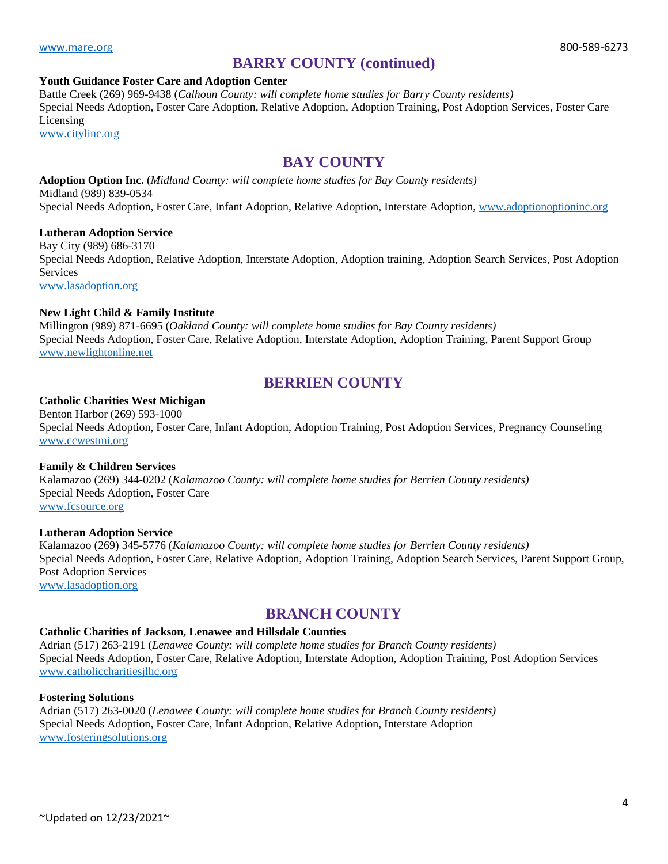# **BARRY COUNTY (continued)**

# **Youth Guidance Foster Care and Adoption Center**

Battle Creek (269) 969-9438 (*Calhoun County: will complete home studies for Barry County residents)* Special Needs Adoption, Foster Care Adoption, Relative Adoption, Adoption Training, Post Adoption Services, Foster Care Licensing [www.citylinc.org](http://www.citylinc.org/)

**BAY COUNTY**

**Adoption Option Inc.** (*Midland County: will complete home studies for Bay County residents)* Midland (989) 839-0534 Special Needs Adoption, Foster Care, Infant Adoption, Relative Adoption, Interstate Adoption, [www.adoptionoptioninc.org](http://www.adoptionoptioninc.org/)

# **Lutheran Adoption Service**

Bay City (989) 686-3170 Special Needs Adoption, Relative Adoption, Interstate Adoption, Adoption training, Adoption Search Services, Post Adoption **Services** [www.lasadoption.org](http://www.lasadoption.org/)

### **New Light Child & Family Institute**

Millington (989) 871-6695 (*Oakland County: will complete home studies for Bay County residents)* Special Needs Adoption, Foster Care, Relative Adoption, Interstate Adoption, Adoption Training, Parent Support Group [www.newlightonline.net](http://www.newlightonline.net/)

# **BERRIEN COUNTY**

# **Catholic Charities West Michigan**

Benton Harbor (269) 593-1000 Special Needs Adoption, Foster Care, Infant Adoption, Adoption Training, Post Adoption Services, Pregnancy Counseling [www.ccwestmi.org](https://urldefense.proofpoint.com/v2/url?u=http-3A__www.ccwestmi.org&d=DwQF-g&c=euGZstcaTDllvimEN8b7jXrwqOf-v5A_CdpgnVfiiMM&r=aBIZrAUnk1omNAaJeGxkFh3Q9w0pE7WkCT88ku7L2UM&m=zG5Mv0y5VrIBsw9TYId0h0wmbA5W_ZSrg5BPFP2ZyKU&s=5yt_mpjfKY5aST3yhZaCFLd4S46gYDqR2h07On5eUsw&e=)

### **Family & Children Services**

Kalamazoo (269) 344-0202 (*Kalamazoo County: will complete home studies for Berrien County residents)* Special Needs Adoption, Foster Care [www.fcsource.org](http://www.fcsource.org/)

#### **Lutheran Adoption Service**

Kalamazoo (269) 345-5776 (*Kalamazoo County: will complete home studies for Berrien County residents)* Special Needs Adoption, Foster Care, Relative Adoption, Adoption Training, Adoption Search Services, Parent Support Group, Post Adoption Services [www.lasadoption.org](http://www.lasadoption.org/)

**BRANCH COUNTY**

# **Catholic Charities of Jackson, Lenawee and Hillsdale Counties**

Adrian (517) 263-2191 (*Lenawee County: will complete home studies for Branch County residents)* Special Needs Adoption, Foster Care, Relative Adoption, Interstate Adoption, Adoption Training, Post Adoption Services [www.catholiccharitiesjlhc.org](http://www.catholiccharitiesjlhc.org/)

# **Fostering Solutions**

Adrian (517) 263-0020 (*Lenawee County: will complete home studies for Branch County residents)* Special Needs Adoption, Foster Care, Infant Adoption, Relative Adoption, Interstate Adoption [www.fosteringsolutions.org](http://www.fosteringsolutions.org/)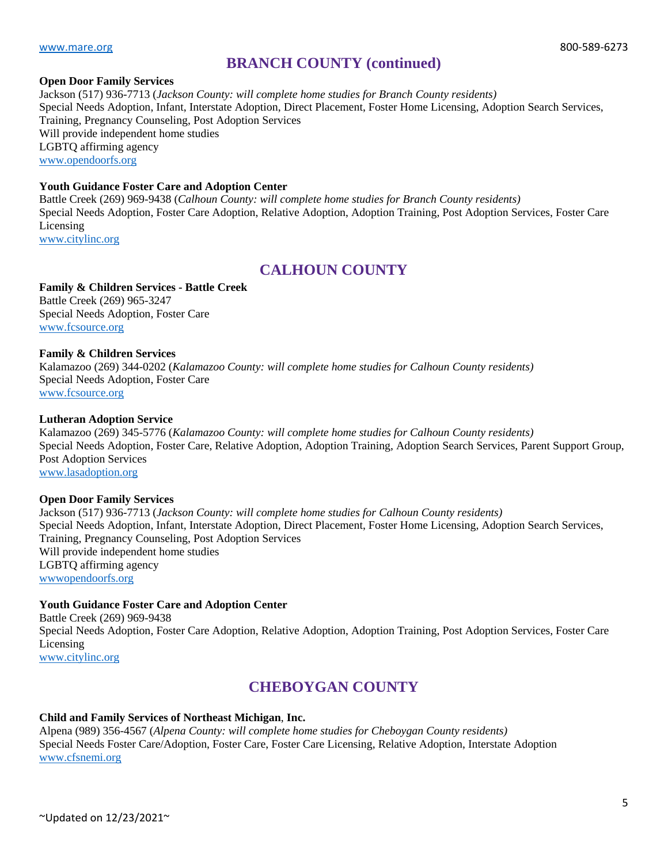# **BRANCH COUNTY (continued)**

### **Open Door Family Services**

Jackson (517) 936-7713 (*Jackson County: will complete home studies for Branch County residents)* Special Needs Adoption, Infant, Interstate Adoption, Direct Placement, Foster Home Licensing, Adoption Search Services, Training, Pregnancy Counseling, Post Adoption Services Will provide independent home studies LGBTQ affirming agency [www.opendoorfs.org](http://www.opendoorfs.org/)

# **Youth Guidance Foster Care and Adoption Center**

Battle Creek (269) 969-9438 (*Calhoun County: will complete home studies for Branch County residents)* Special Needs Adoption, Foster Care Adoption, Relative Adoption, Adoption Training, Post Adoption Services, Foster Care Licensing [www.citylinc.org](http://www.citylinc.org/)

# **CALHOUN COUNTY**

# **Family & Children Services - Battle Creek**

Battle Creek (269) 965-3247 Special Needs Adoption, Foster Care [www.fcsource.org](http://www.fcsource.org/)

# **Family & Children Services**

Kalamazoo (269) 344-0202 (*Kalamazoo County: will complete home studies for Calhoun County residents)* Special Needs Adoption, Foster Care [www.fcsource.org](http://www.fcsource.org/)

### **Lutheran Adoption Service**

Kalamazoo (269) 345-5776 (*Kalamazoo County: will complete home studies for Calhoun County residents)* Special Needs Adoption, Foster Care, Relative Adoption, Adoption Training, Adoption Search Services, Parent Support Group, Post Adoption Services [www.lasadoption.org](http://www.lasadoption.org/)

#### **Open Door Family Services**

Jackson (517) 936-7713 (*Jackson County: will complete home studies for Calhoun County residents)* Special Needs Adoption, Infant, Interstate Adoption, Direct Placement, Foster Home Licensing, Adoption Search Services, Training, Pregnancy Counseling, Post Adoption Services Will provide independent home studies LGBTQ affirming agency [wwwopendoorfs.org](http://www.opendoorfs.org/)

# **Youth Guidance Foster Care and Adoption Center**

Battle Creek (269) 969-9438 Special Needs Adoption, Foster Care Adoption, Relative Adoption, Adoption Training, Post Adoption Services, Foster Care Licensing [www.citylinc.org](http://www.citylinc.org/)

# **CHEBOYGAN COUNTY**

#### **Child and Family Services of Northeast Michigan**, **Inc.**

Alpena (989) 356-4567 (*Alpena County: will complete home studies for Cheboygan County residents)* Special Needs Foster Care/Adoption, Foster Care, Foster Care Licensing, Relative Adoption, Interstate Adoption [www.cfsnemi.org](http://www.cfsnemi.org/)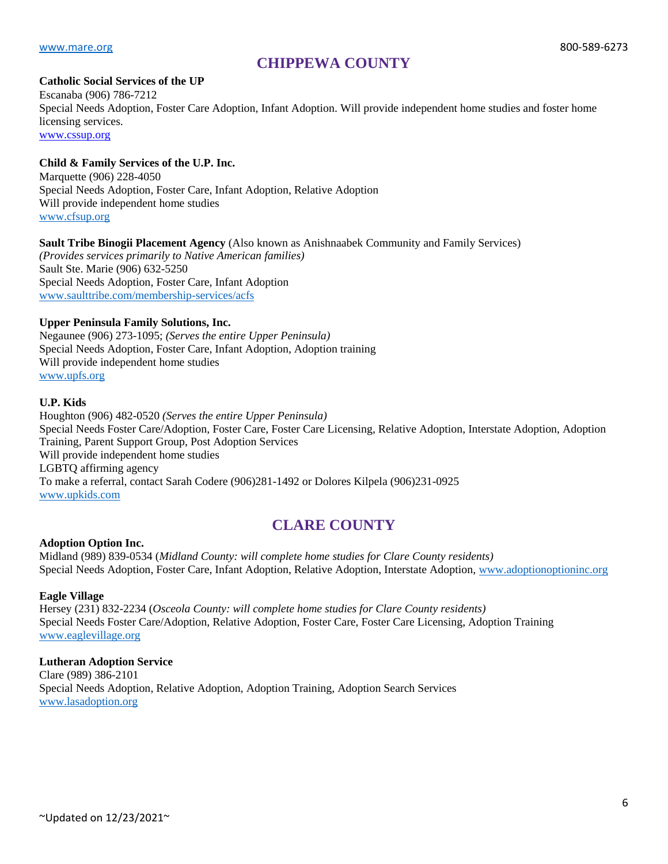# **CHIPPEWA COUNTY**

# **Catholic Social Services of the UP**

Escanaba (906) 786-7212 Special Needs Adoption, Foster Care Adoption, Infant Adoption. Will provide independent home studies and foster home licensing services. [www.cssup.org](https://urldefense.proofpoint.com/v2/url?u=http-3A__www.cssup.org&d=DwQF-g&c=euGZstcaTDllvimEN8b7jXrwqOf-v5A_CdpgnVfiiMM&r=QmB0e6qn4GS5mBoO3pirSZwLu5aEKcrcW6DV2rHPvsk&m=VF3mxIu_OzLIWiJrJgFFTJCONMUpsccUlqzTMMGuj1I&s=KLbjyGBYmxxRMEBuGv3sI7es8_klyDrKs0Zlc40hwxY&e=)

### **Child & Family Services of the U.P. Inc.**

Marquette (906) 228-4050 Special Needs Adoption, Foster Care, Infant Adoption, Relative Adoption Will provide independent home studies [www.cfsup.org](http://www.cfsup.org/)

### **Sault Tribe Binogii Placement Agency** (Also known as Anishnaabek Community and Family Services)

*(Provides services primarily to Native American families)* Sault Ste. Marie (906) 632-5250 Special Needs Adoption, Foster Care, Infant Adoption [www.saulttribe.com/membership](http://www.saulttribe.com/membership)[-services/acfs](http://www.saulttribe.com/membership-services/acfs)

### **Upper Peninsula Family Solutions, Inc.**

Negaunee (906) 273-1095; *(Serves the entire Upper Peninsula)* Special Needs Adoption, Foster Care, Infant Adoption, Adoption training Will provide independent home studies [www.upfs.org](http://www.upfs.org/)

# **U.P. Kids**

Houghton (906) 482-0520 *(Serves the entire Upper Peninsula)* Special Needs Foster Care/Adoption, Foster Care, Foster Care Licensing, Relative Adoption, Interstate Adoption, Adoption Training, Parent Support Group, Post Adoption Services Will provide independent home studies LGBTQ affirming agency To make a referral, contact Sarah Codere (906)281-1492 or Dolores Kilpela (906)231-0925 [www.upkids.com](http://www.upkids.com/)

# **CLARE COUNTY**

#### **Adoption Option Inc.**

Midland (989) 839-0534 (*Midland County: will complete home studies for Clare County residents)* Special Needs Adoption, Foster Care, Infant Adoption, Relative Adoption, Interstate Adoption, [www.adoptionoptioninc.org](http://www.adoptionoptioninc.org/)

#### **Eagle Village**

Hersey (231) 832-2234 (*Osceola County: will complete home studies for Clare County residents)* Special Needs Foster Care/Adoption, Relative Adoption, Foster Care, Foster Care Licensing, Adoption Training [www.eaglevillage.org](http://www.eaglevillage.org/)

#### **Lutheran Adoption Service**

Clare (989) 386-2101 Special Needs Adoption, Relative Adoption, Adoption Training, Adoption Search Services [www.lasadoption.org](http://www.lasadoption.org/)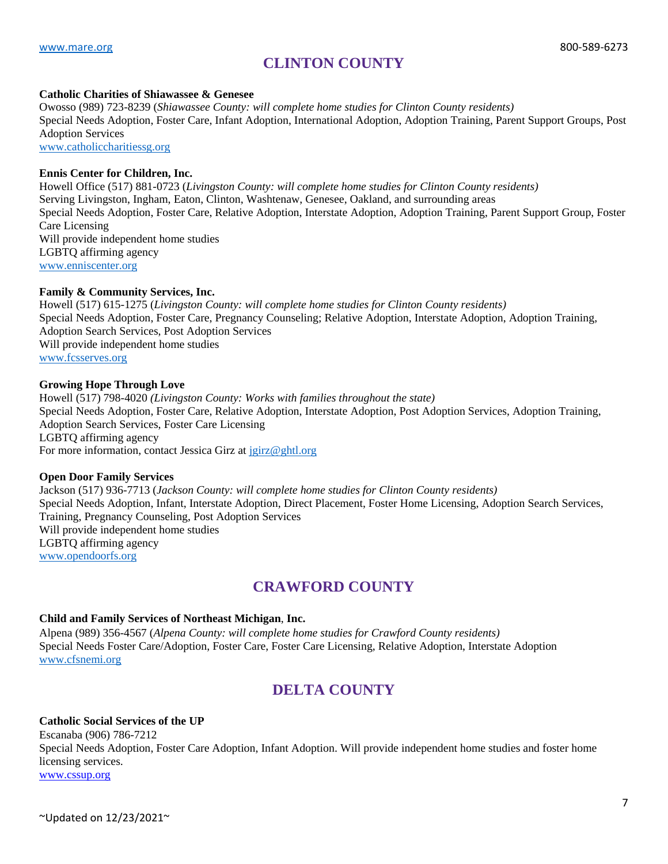# **CLINTON COUNTY**

#### **Catholic Charities of Shiawassee & Genesee**

Owosso (989) 723-8239 (*Shiawassee County: will complete home studies for Clinton County residents)* Special Needs Adoption, Foster Care, Infant Adoption, International Adoption, Adoption Training, Parent Support Groups, Post Adoption Services [www.catholiccharitiessg.org](http://www.catholiccharitiessg.org/)

# **Ennis Center for Children, Inc.**

Howell Office (517) 881-0723 (*Livingston County: will complete home studies for Clinton County residents)* Serving Livingston, Ingham, Eaton, Clinton, Washtenaw, Genesee, Oakland, and surrounding areas Special Needs Adoption, Foster Care, Relative Adoption, Interstate Adoption, Adoption Training, Parent Support Group, Foster Care Licensing Will provide independent home studies LGBTQ affirming agency [www.enniscenter.org](https://urldefense.proofpoint.com/v2/url?u=http-3A__www.enniscenter.org&d=DwQFAw&c=euGZstcaTDllvimEN8b7jXrwqOf-v5A_CdpgnVfiiMM&r=QmB0e6qn4GS5mBoO3pirSZwLu5aEKcrcW6DV2rHPvsk&m=HXVrhz7JNH_8Y6rx8eCAZcBvdcwnpjmHF_yx-JFJbKg&s=cqZTwLKEmKPQdmDtNG9rwGrctHHKDNpQfIvnGPxuC3o&e=)

#### **Family & Community Services, Inc.**

Howell (517) 615-1275 (*Livingston County: will complete home studies for Clinton County residents)* Special Needs Adoption, Foster Care, Pregnancy Counseling; Relative Adoption, Interstate Adoption, Adoption Training, Adoption Search Services, Post Adoption Services Will provide independent home studies [www.fcsserves.org](http://www.fcsserves.org/)

# **Growing Hope Through Love**

Howell (517) 798-4020 *(Livingston County: Works with families throughout the state)* Special Needs Adoption, Foster Care, Relative Adoption, Interstate Adoption, Post Adoption Services, Adoption Training, Adoption Search Services, Foster Care Licensing LGBTQ affirming agency For more information, contact Jessica Girz at [jgirz@ghtl.org](mailto:jgirz@ghtl.org)

#### **Open Door Family Services**

Jackson (517) 936-7713 (*Jackson County: will complete home studies for Clinton County residents)* Special Needs Adoption, Infant, Interstate Adoption, Direct Placement, Foster Home Licensing, Adoption Search Services, Training, Pregnancy Counseling, Post Adoption Services Will provide independent home studies LGBTQ affirming agency [www.opendoorfs.org](http://www.opendoorfs.org/)

# **CRAWFORD COUNTY**

#### **Child and Family Services of Northeast Michigan**, **Inc.**

Alpena (989) 356-4567 (*Alpena County: will complete home studies for Crawford County residents)* Special Needs Foster Care/Adoption, Foster Care, Foster Care Licensing, Relative Adoption, Interstate Adoption [www.cfsnemi.org](http://www.cfsnemi.org/)

# **DELTA COUNTY**

# **Catholic Social Services of the UP**

Escanaba (906) 786-7212 Special Needs Adoption, Foster Care Adoption, Infant Adoption. Will provide independent home studies and foster home licensing services.

[www.cssup.org](https://urldefense.proofpoint.com/v2/url?u=http-3A__www.cssup.org&d=DwQF-g&c=euGZstcaTDllvimEN8b7jXrwqOf-v5A_CdpgnVfiiMM&r=QmB0e6qn4GS5mBoO3pirSZwLu5aEKcrcW6DV2rHPvsk&m=VF3mxIu_OzLIWiJrJgFFTJCONMUpsccUlqzTMMGuj1I&s=KLbjyGBYmxxRMEBuGv3sI7es8_klyDrKs0Zlc40hwxY&e=)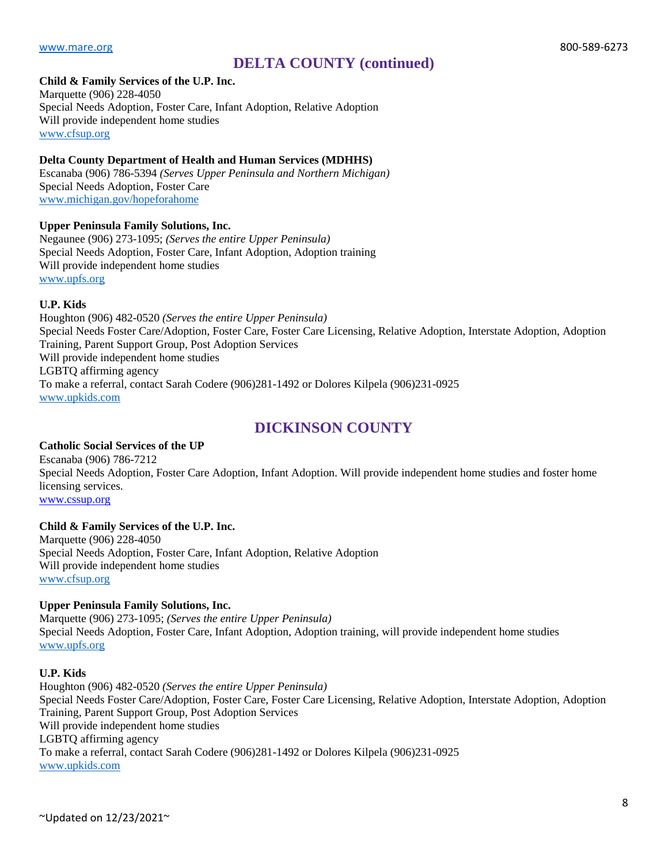# **DELTA COUNTY (continued)**

# **Child & Family Services of the U.P. Inc.**

Marquette (906) 228-4050 Special Needs Adoption, Foster Care, Infant Adoption, Relative Adoption Will provide independent home studies [www.cfsup.org](http://www.cfsup.org/)

### **Delta County Department of Health and Human Services (MDHHS)**

Escanaba (906) 786-5394 *(Serves Upper Peninsula and Northern Michigan)* Special Needs Adoption, Foster Care [www.michigan.gov/hopeforahome](http://www.michigan.gov/hopeforahome)

### **Upper Peninsula Family Solutions, Inc.**

Negaunee (906) 273-1095; *(Serves the entire Upper Peninsula)* Special Needs Adoption, Foster Care, Infant Adoption, Adoption training Will provide independent home studies [www.upfs.org](http://www.upfs.org/)

#### **U.P. Kids**

Houghton (906) 482-0520 *(Serves the entire Upper Peninsula)* Special Needs Foster Care/Adoption, Foster Care, Foster Care Licensing, Relative Adoption, Interstate Adoption, Adoption Training, Parent Support Group, Post Adoption Services Will provide independent home studies LGBTQ affirming agency To make a referral, contact Sarah Codere (906)281-1492 or Dolores Kilpela (906)231-0925 [www.upkids.com](http://www.upkids.com/)

# **DICKINSON COUNTY**

#### **Catholic Social Services of the UP**

Escanaba (906) 786-7212 Special Needs Adoption, Foster Care Adoption, Infant Adoption. Will provide independent home studies and foster home licensing services. [www.cssup.org](https://urldefense.proofpoint.com/v2/url?u=http-3A__www.cssup.org&d=DwQF-g&c=euGZstcaTDllvimEN8b7jXrwqOf-v5A_CdpgnVfiiMM&r=QmB0e6qn4GS5mBoO3pirSZwLu5aEKcrcW6DV2rHPvsk&m=VF3mxIu_OzLIWiJrJgFFTJCONMUpsccUlqzTMMGuj1I&s=KLbjyGBYmxxRMEBuGv3sI7es8_klyDrKs0Zlc40hwxY&e=)

# **Child & Family Services of the U.P. Inc.**

Marquette (906) 228-4050 Special Needs Adoption, Foster Care, Infant Adoption, Relative Adoption Will provide independent home studies [www.cfsup.org](http://www.cfsup.org/)

### **Upper Peninsula Family Solutions, Inc.**

Marquette (906) 273-1095; *(Serves the entire Upper Peninsula)* Special Needs Adoption, Foster Care, Infant Adoption, Adoption training, will provide independent home studies [www.upfs.org](http://www.upfs.org/)

# **U.P. Kids**

Houghton (906) 482-0520 *(Serves the entire Upper Peninsula)* Special Needs Foster Care/Adoption, Foster Care, Foster Care Licensing, Relative Adoption, Interstate Adoption, Adoption Training, Parent Support Group, Post Adoption Services Will provide independent home studies LGBTQ affirming agency To make a referral, contact Sarah Codere (906)281-1492 or Dolores Kilpela (906)231-0925 [www.upkids.com](http://www.upkids.com/)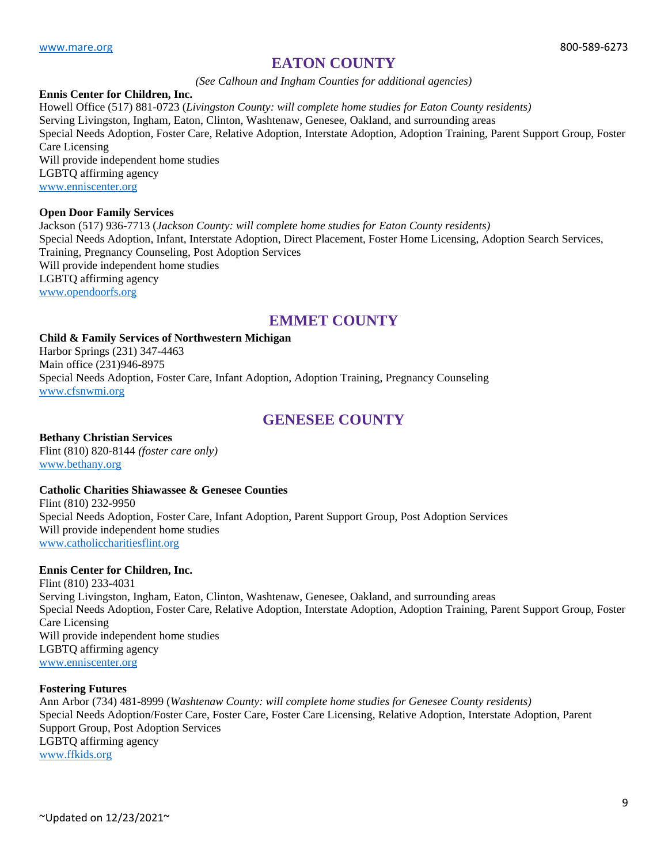# **EATON COUNTY**

*(See Calhoun and Ingham Counties for additional agencies)*

#### **Ennis Center for Children, Inc.**

Howell Office (517) 881-0723 (*Livingston County: will complete home studies for Eaton County residents)* Serving Livingston, Ingham, Eaton, Clinton, Washtenaw, Genesee, Oakland, and surrounding areas Special Needs Adoption, Foster Care, Relative Adoption, Interstate Adoption, Adoption Training, Parent Support Group, Foster Care Licensing Will provide independent home studies LGBTQ affirming agency [www.enniscenter.org](https://urldefense.proofpoint.com/v2/url?u=http-3A__www.enniscenter.org&d=DwQFAw&c=euGZstcaTDllvimEN8b7jXrwqOf-v5A_CdpgnVfiiMM&r=QmB0e6qn4GS5mBoO3pirSZwLu5aEKcrcW6DV2rHPvsk&m=HXVrhz7JNH_8Y6rx8eCAZcBvdcwnpjmHF_yx-JFJbKg&s=cqZTwLKEmKPQdmDtNG9rwGrctHHKDNpQfIvnGPxuC3o&e=)

### **Open Door Family Services**

Jackson (517) 936-7713 (*Jackson County: will complete home studies for Eaton County residents)* Special Needs Adoption, Infant, Interstate Adoption, Direct Placement, Foster Home Licensing, Adoption Search Services, Training, Pregnancy Counseling, Post Adoption Services Will provide independent home studies LGBTQ affirming agency [www.opendoorfs.org](http://www.opendoorfs.org/)

# **EMMET COUNTY**

### **Child & Family Services of Northwestern Michigan**

Harbor Springs (231) 347-4463 Main office (231)946-8975 Special Needs Adoption, Foster Care, Infant Adoption, Adoption Training, Pregnancy Counseling [www.cfsnwmi.org](http://www.cfsnwmi.org/)

# **GENESEE COUNTY**

**Bethany Christian Services**  Flint (810) 820-8144 *(foster care only)* [www.bethany.org](http://www.bethany.org/)

# **Catholic Charities Shiawassee & Genesee Counties**

Flint (810) 232-9950 Special Needs Adoption, Foster Care, Infant Adoption, Parent Support Group, Post Adoption Services Will provide independent home studies [www.catholiccharitiesflint.org](http://www.catholiccharitiesflint.org/)

# **Ennis Center for Children, Inc.**

Flint (810) 233-4031 Serving Livingston, Ingham, Eaton, Clinton, Washtenaw, Genesee, Oakland, and surrounding areas Special Needs Adoption, Foster Care, Relative Adoption, Interstate Adoption, Adoption Training, Parent Support Group, Foster Care Licensing Will provide independent home studies LGBTQ affirming agency [www.enniscenter.org](https://urldefense.proofpoint.com/v2/url?u=http-3A__www.enniscenter.org&d=DwQFAw&c=euGZstcaTDllvimEN8b7jXrwqOf-v5A_CdpgnVfiiMM&r=QmB0e6qn4GS5mBoO3pirSZwLu5aEKcrcW6DV2rHPvsk&m=HXVrhz7JNH_8Y6rx8eCAZcBvdcwnpjmHF_yx-JFJbKg&s=cqZTwLKEmKPQdmDtNG9rwGrctHHKDNpQfIvnGPxuC3o&e=)

#### **Fostering Futures**

Ann Arbor (734) 481-8999 (*Washtenaw County: will complete home studies for Genesee County residents)* Special Needs Adoption/Foster Care, Foster Care, Foster Care Licensing, Relative Adoption, Interstate Adoption, Parent Support Group, Post Adoption Services LGBTQ affirming agency [www.ffkids.org](http://www.ffkids.org/)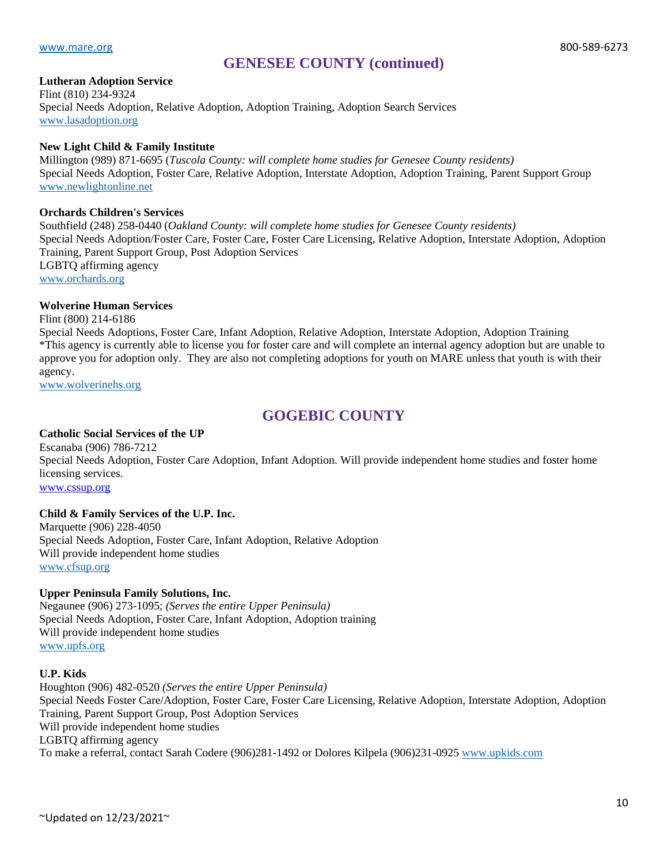# **GENESEE COUNTY (continued)**

# **Lutheran Adoption Service**

Flint (810) 234-9324 Special Needs Adoption, Relative Adoption, Adoption Training, Adoption Search Services [www.lasadoption.org](http://www.lasadoption.org/)

# **New Light Child & Family Institute**

Millington (989) 871-6695 (*Tuscola County: will complete home studies for Genesee County residents)* Special Needs Adoption, Foster Care, Relative Adoption, Interstate Adoption, Adoption Training, Parent Support Group [www.newlightonline.net](http://www.newlightonline.net/)

# **Orchards Children's Services**

Southfield (248) 258-0440 (*Oakland County: will complete home studies for Genesee County residents)* Special Needs Adoption/Foster Care, Foster Care, Foster Care Licensing, Relative Adoption, Interstate Adoption, Adoption Training, Parent Support Group, Post Adoption Services LGBTQ affirming agency [www.orchards.org](http://www.orchards.org/)

# **Wolverine Human Services**

Flint (800) 214-6186

Special Needs Adoptions, Foster Care, Infant Adoption, Relative Adoption, Interstate Adoption, Adoption Training \*This agency is currently able to license you for foster care and will complete an internal agency adoption but are unable to approve you for adoption only. They are also not completing adoptions for youth on MARE unless that youth is with their agency.

[www.wolverinehs.org](http://www.wolverinehs.org/)

# **GOGEBIC COUNTY**

# **Catholic Social Services of the UP**

Escanaba (906) 786-7212 Special Needs Adoption, Foster Care Adoption, Infant Adoption. Will provide independent home studies and foster home licensing services.

[www.cssup.org](https://urldefense.proofpoint.com/v2/url?u=http-3A__www.cssup.org&d=DwQF-g&c=euGZstcaTDllvimEN8b7jXrwqOf-v5A_CdpgnVfiiMM&r=QmB0e6qn4GS5mBoO3pirSZwLu5aEKcrcW6DV2rHPvsk&m=VF3mxIu_OzLIWiJrJgFFTJCONMUpsccUlqzTMMGuj1I&s=KLbjyGBYmxxRMEBuGv3sI7es8_klyDrKs0Zlc40hwxY&e=)

# **Child & Family Services of the U.P. Inc.**

Marquette (906) 228-4050 Special Needs Adoption, Foster Care, Infant Adoption, Relative Adoption Will provide independent home studies [www.cfsup.org](http://www.cfsup.org/)

# **Upper Peninsula Family Solutions, Inc.**

Negaunee (906) 273-1095; *(Serves the entire Upper Peninsula)* Special Needs Adoption, Foster Care, Infant Adoption, Adoption training Will provide independent home studies [www.upfs.org](http://www.upfs.org/)

# **U.P. Kids**

Houghton (906) 482-0520 *(Serves the entire Upper Peninsula)* Special Needs Foster Care/Adoption, Foster Care, Foster Care Licensing, Relative Adoption, Interstate Adoption, Adoption Training, Parent Support Group, Post Adoption Services Will provide independent home studies LGBTQ affirming agency To make a referral, contact Sarah Codere (906)281-1492 or Dolores Kilpela (906)231-0925 [www.upkids.com](http://www.upkids.com/)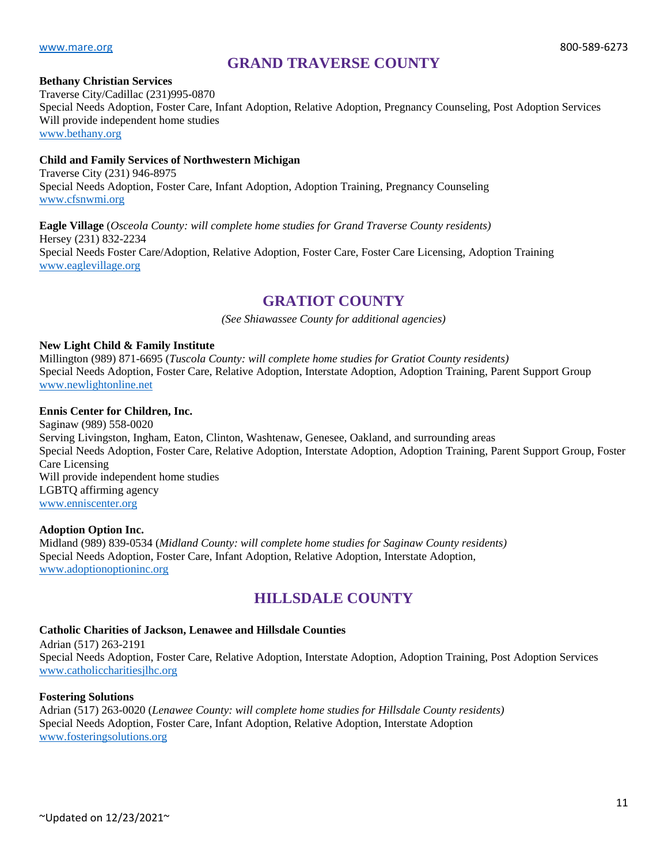# **GRAND TRAVERSE COUNTY**

### **Bethany Christian Services**

Traverse City/Cadillac (231)995-0870 Special Needs Adoption, Foster Care, Infant Adoption, Relative Adoption, Pregnancy Counseling, Post Adoption Services Will provide independent home studies [www.bethany.org](http://www.bethany.org/)

### **Child and Family Services of Northwestern Michigan**

Traverse City (231) 946-8975 Special Needs Adoption, Foster Care, Infant Adoption, Adoption Training, Pregnancy Counseling [www.cfsnwmi.org](http://www.cfsnwmi.org/)

**Eagle Village** (*Osceola County: will complete home studies for Grand Traverse County residents)* Hersey (231) 832-2234 Special Needs Foster Care/Adoption, Relative Adoption, Foster Care, Foster Care Licensing, Adoption Training [www.eaglevillage.org](http://www.eaglevillage.org/)

# **GRATIOT COUNTY**

*(See Shiawassee County for additional agencies)*

#### **New Light Child & Family Institute**

Millington (989) 871-6695 (*Tuscola County: will complete home studies for Gratiot County residents)* Special Needs Adoption, Foster Care, Relative Adoption, Interstate Adoption, Adoption Training, Parent Support Group [www.newlightonline.net](http://www.newlightonline.net/)

#### **Ennis Center for Children, Inc.**

Saginaw (989) 558-0020 Serving Livingston, Ingham, Eaton, Clinton, Washtenaw, Genesee, Oakland, and surrounding areas Special Needs Adoption, Foster Care, Relative Adoption, Interstate Adoption, Adoption Training, Parent Support Group, Foster Care Licensing Will provide independent home studies LGBTQ affirming agency [www.enniscenter.org](http://www.enniscenter.org/)

#### **Adoption Option Inc.**

Midland (989) 839-0534 (*Midland County: will complete home studies for Saginaw County residents)* Special Needs Adoption, Foster Care, Infant Adoption, Relative Adoption, Interstate Adoption, [www.adoptionoptioninc.org](http://www.adoptionoptioninc.org/)

# **HILLSDALE COUNTY**

#### **Catholic Charities of Jackson, Lenawee and Hillsdale Counties**

Adrian (517) 263-2191 Special Needs Adoption, Foster Care, Relative Adoption, Interstate Adoption, Adoption Training, Post Adoption Services [www.catholiccharitiesjlhc.org](http://www.catholiccharitiesjlhc.org/)

#### **Fostering Solutions**

Adrian (517) 263-0020 (*Lenawee County: will complete home studies for Hillsdale County residents)* Special Needs Adoption, Foster Care, Infant Adoption, Relative Adoption, Interstate Adoption [www.fosteringsolutions.org](http://www.fosteringsolutions.org/)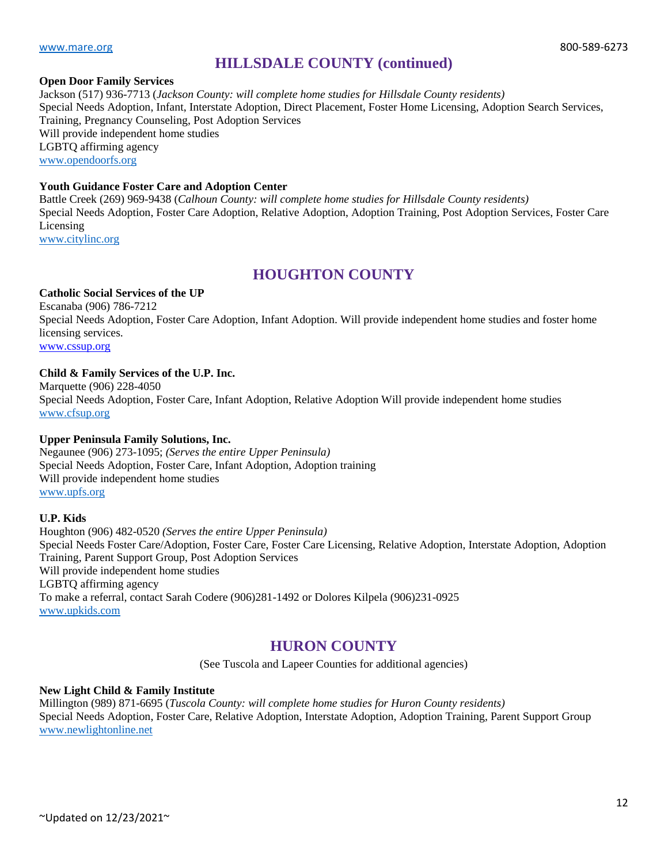# **HILLSDALE COUNTY (continued)**

### **Open Door Family Services**

Jackson (517) 936-7713 (*Jackson County: will complete home studies for Hillsdale County residents)* Special Needs Adoption, Infant, Interstate Adoption, Direct Placement, Foster Home Licensing, Adoption Search Services, Training, Pregnancy Counseling, Post Adoption Services Will provide independent home studies LGBTQ affirming agency [www.opendoorfs.org](http://www.opendoorfs.org/)

# **Youth Guidance Foster Care and Adoption Center**

Battle Creek (269) 969-9438 (*Calhoun County: will complete home studies for Hillsdale County residents)* Special Needs Adoption, Foster Care Adoption, Relative Adoption, Adoption Training, Post Adoption Services, Foster Care Licensing [www.citylinc.org](http://www.citylinc.org/)

**HOUGHTON COUNTY**

# **Catholic Social Services of the UP**

Escanaba (906) 786-7212 Special Needs Adoption, Foster Care Adoption, Infant Adoption. Will provide independent home studies and foster home licensing services. [www.cssup.org](https://urldefense.proofpoint.com/v2/url?u=http-3A__www.cssup.org&d=DwQF-g&c=euGZstcaTDllvimEN8b7jXrwqOf-v5A_CdpgnVfiiMM&r=QmB0e6qn4GS5mBoO3pirSZwLu5aEKcrcW6DV2rHPvsk&m=VF3mxIu_OzLIWiJrJgFFTJCONMUpsccUlqzTMMGuj1I&s=KLbjyGBYmxxRMEBuGv3sI7es8_klyDrKs0Zlc40hwxY&e=)

# **Child & Family Services of the U.P. Inc.**

Marquette (906) 228-4050 Special Needs Adoption, Foster Care, Infant Adoption, Relative Adoption Will provide independent home studies [www.cfsup.org](http://www.cfsup.org/)

# **Upper Peninsula Family Solutions, Inc.**

Negaunee (906) 273-1095; *(Serves the entire Upper Peninsula)* Special Needs Adoption, Foster Care, Infant Adoption, Adoption training Will provide independent home studies [www.upfs.org](http://www.upfs.org/)

# **U.P. Kids**

Houghton (906) 482-0520 *(Serves the entire Upper Peninsula)* Special Needs Foster Care/Adoption, Foster Care, Foster Care Licensing, Relative Adoption, Interstate Adoption, Adoption Training, Parent Support Group, Post Adoption Services Will provide independent home studies LGBTQ affirming agency To make a referral, contact Sarah Codere (906)281-1492 or Dolores Kilpela (906)231-0925 [www.upkids.com](http://www.upkids.com/)

# **HURON COUNTY**

(See Tuscola and Lapeer Counties for additional agencies)

# **New Light Child & Family Institute**

Millington (989) 871-6695 (*Tuscola County: will complete home studies for Huron County residents)* Special Needs Adoption, Foster Care, Relative Adoption, Interstate Adoption, Adoption Training, Parent Support Group [www.newlightonline.net](http://www.newlightonline.net/)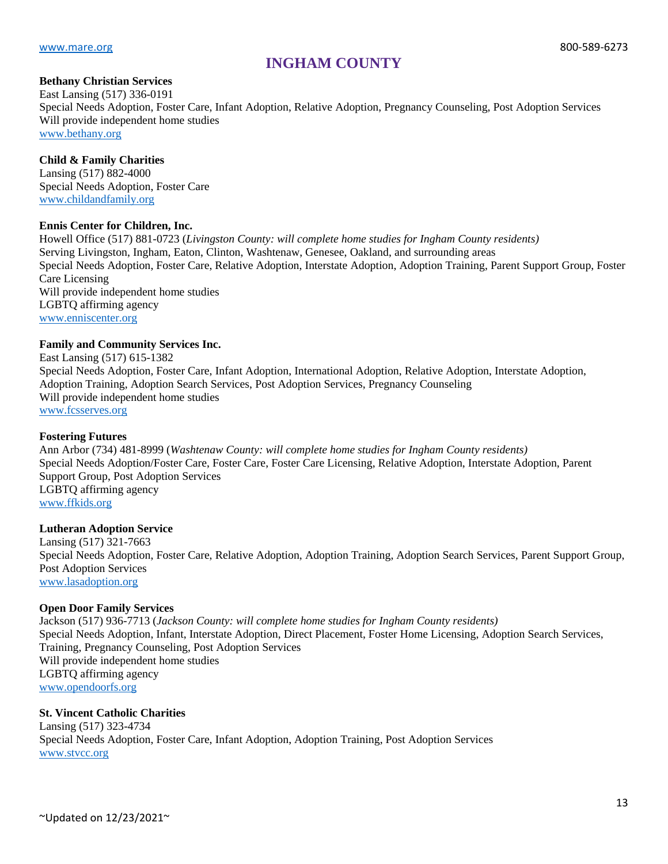# **INGHAM COUNTY**

# **Bethany Christian Services**

East Lansing (517) 336-0191 Special Needs Adoption, Foster Care, Infant Adoption, Relative Adoption, Pregnancy Counseling, Post Adoption Services Will provide independent home studies [www.bethany.org](http://www.bethany.org/)

### **Child & Family Charities**

Lansing (517) 882-4000 Special Needs Adoption, Foster Care [www.childandfamily.org](http://www.childandfamily.org/)

#### **Ennis Center for Children, Inc.**

Howell Office (517) 881-0723 (*Livingston County: will complete home studies for Ingham County residents)* Serving Livingston, Ingham, Eaton, Clinton, Washtenaw, Genesee, Oakland, and surrounding areas Special Needs Adoption, Foster Care, Relative Adoption, Interstate Adoption, Adoption Training, Parent Support Group, Foster Care Licensing Will provide independent home studies LGBTQ affirming agency [www.enniscenter.org](https://urldefense.proofpoint.com/v2/url?u=http-3A__www.enniscenter.org&d=DwQFAw&c=euGZstcaTDllvimEN8b7jXrwqOf-v5A_CdpgnVfiiMM&r=QmB0e6qn4GS5mBoO3pirSZwLu5aEKcrcW6DV2rHPvsk&m=HXVrhz7JNH_8Y6rx8eCAZcBvdcwnpjmHF_yx-JFJbKg&s=cqZTwLKEmKPQdmDtNG9rwGrctHHKDNpQfIvnGPxuC3o&e=)

# **Family and Community Services Inc.**

East Lansing (517) 615-1382 Special Needs Adoption, Foster Care, Infant Adoption, International Adoption, Relative Adoption, Interstate Adoption, Adoption Training, Adoption Search Services, Post Adoption Services, Pregnancy Counseling Will provide independent home studies [www.fcsserves.org](http://www.fcsserves.org/)

#### **Fostering Futures**

Ann Arbor (734) 481-8999 (*Washtenaw County: will complete home studies for Ingham County residents)* Special Needs Adoption/Foster Care, Foster Care, Foster Care Licensing, Relative Adoption, Interstate Adoption, Parent Support Group, Post Adoption Services LGBTQ affirming agency [www.ffkids.org](http://www.ffkids.org/)

### **Lutheran Adoption Service**

Lansing (517) 321-7663 Special Needs Adoption, Foster Care, Relative Adoption, Adoption Training, Adoption Search Services, Parent Support Group, Post Adoption Services [www.lasadoption.org](http://www.lasadoption.org/)

### **Open Door Family Services**

Jackson (517) 936-7713 (*Jackson County: will complete home studies for Ingham County residents)* Special Needs Adoption, Infant, Interstate Adoption, Direct Placement, Foster Home Licensing, Adoption Search Services, Training, Pregnancy Counseling, Post Adoption Services Will provide independent home studies LGBTQ affirming agency [www.opendoorfs.org](http://www.opendoorfs.org/)

# **St. Vincent Catholic Charities**

Lansing (517) 323-4734 Special Needs Adoption, Foster Care, Infant Adoption, Adoption Training, Post Adoption Services [www.stvcc.org](http://www.stvcc.org/)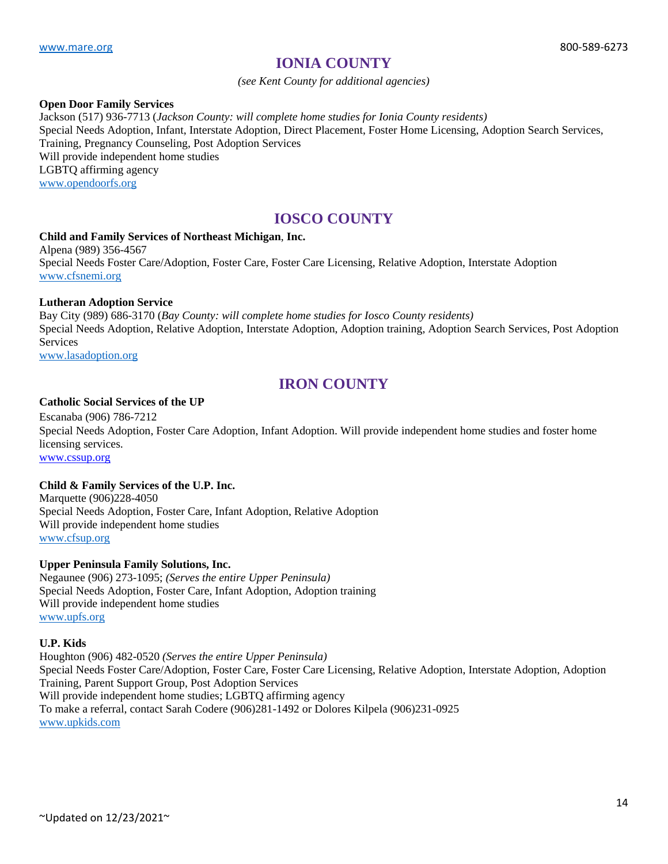# **IONIA COUNTY**

*(see Kent County for additional agencies)*

# **Open Door Family Services**

Jackson (517) 936-7713 (*Jackson County: will complete home studies for Ionia County residents)* Special Needs Adoption, Infant, Interstate Adoption, Direct Placement, Foster Home Licensing, Adoption Search Services, Training, Pregnancy Counseling, Post Adoption Services Will provide independent home studies LGBTQ affirming agency [www.opendoorfs.org](http://www.opendoorfs.org/)

# **IOSCO COUNTY**

# **Child and Family Services of Northeast Michigan**, **Inc.**

Alpena (989) 356-4567 Special Needs Foster Care/Adoption, Foster Care, Foster Care Licensing, Relative Adoption, Interstate Adoption [www.cfsnemi.org](http://www.cfsnemi.org/)

#### **Lutheran Adoption Service**

Bay City (989) 686-3170 (*Bay County: will complete home studies for Iosco County residents)* Special Needs Adoption, Relative Adoption, Interstate Adoption, Adoption training, Adoption Search Services, Post Adoption Services [www.lasadoption.org](http://www.lasadoption.org/)

# **IRON COUNTY**

# **Catholic Social Services of the UP**

Escanaba (906) 786-7212 Special Needs Adoption, Foster Care Adoption, Infant Adoption. Will provide independent home studies and foster home licensing services. [www.cssup.org](https://urldefense.proofpoint.com/v2/url?u=http-3A__www.cssup.org&d=DwQF-g&c=euGZstcaTDllvimEN8b7jXrwqOf-v5A_CdpgnVfiiMM&r=QmB0e6qn4GS5mBoO3pirSZwLu5aEKcrcW6DV2rHPvsk&m=VF3mxIu_OzLIWiJrJgFFTJCONMUpsccUlqzTMMGuj1I&s=KLbjyGBYmxxRMEBuGv3sI7es8_klyDrKs0Zlc40hwxY&e=)

#### **Child & Family Services of the U.P. Inc.**

Marquette (906)228-4050 Special Needs Adoption, Foster Care, Infant Adoption, Relative Adoption Will provide independent home studies [www.cfsup.org](http://www.cfsup.org/)

# **Upper Peninsula Family Solutions, Inc.**

Negaunee (906) 273-1095; *(Serves the entire Upper Peninsula)* Special Needs Adoption, Foster Care, Infant Adoption, Adoption training Will provide independent home studies [www.upfs.org](http://www.upfs.org/)

# **U.P. Kids**

Houghton (906) 482-0520 *(Serves the entire Upper Peninsula)* Special Needs Foster Care/Adoption, Foster Care, Foster Care Licensing, Relative Adoption, Interstate Adoption, Adoption Training, Parent Support Group, Post Adoption Services Will provide independent home studies; LGBTQ affirming agency To make a referral, contact Sarah Codere (906)281-1492 or Dolores Kilpela (906)231-0925 [www.upkids.com](http://www.upkids.com/)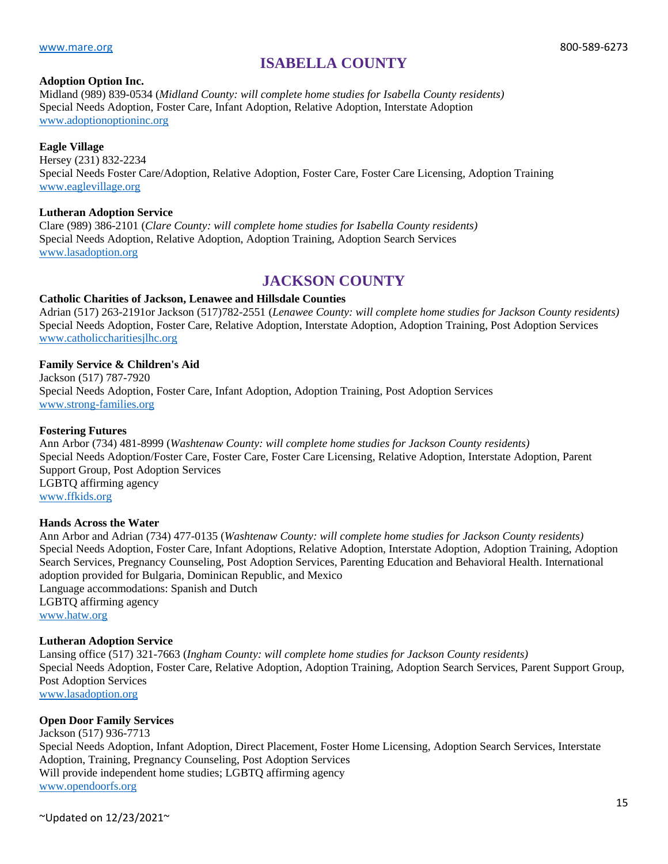# **ISABELLA COUNTY**

### **Adoption Option Inc.**

Midland (989) 839-0534 (*Midland County: will complete home studies for Isabella County residents)* Special Needs Adoption, Foster Care, Infant Adoption, Relative Adoption, Interstate Adoption [www.adoptionoptioninc.org](http://www.adoptionoptioninc.org/)

### **Eagle Village**

Hersey (231) 832-2234 Special Needs Foster Care/Adoption, Relative Adoption, Foster Care, Foster Care Licensing, Adoption Training [www.eaglevillage.org](http://www.eaglevillage.org/)

### **Lutheran Adoption Service**

Clare (989) 386-2101 (*Clare County: will complete home studies for Isabella County residents)* Special Needs Adoption, Relative Adoption, Adoption Training, Adoption Search Services [www.lasadoption.org](http://www.lasadoption.org/)

# **JACKSON COUNTY**

### **Catholic Charities of Jackson, Lenawee and Hillsdale Counties**

Adrian (517) 263-2191or Jackson (517)782-2551 (*Lenawee County: will complete home studies for Jackson County residents)* Special Needs Adoption, Foster Care, Relative Adoption, Interstate Adoption, Adoption Training, Post Adoption Services [www.catholiccharitiesjlhc.org](http://www.catholiccharitiesjlhc.org/)

#### **Family Service & Children's Aid**

Jackson (517) 787-7920 Special Needs Adoption, Foster Care, Infant Adoption, Adoption Training, Post Adoption Services [www.strong](http://www.strong/)[-families.org](http://www.strong-families.org/)

#### **Fostering Futures**

Ann Arbor (734) 481-8999 (*Washtenaw County: will complete home studies for Jackson County residents)* Special Needs Adoption/Foster Care, Foster Care, Foster Care Licensing, Relative Adoption, Interstate Adoption, Parent Support Group, Post Adoption Services LGBTQ affirming agency [www.ffkids.org](http://www.ffkids.org/)

### **Hands Across the Water**

Ann Arbor and Adrian (734) 477-0135 (*Washtenaw County: will complete home studies for Jackson County residents)* Special Needs Adoption, Foster Care, Infant Adoptions, Relative Adoption, Interstate Adoption, Adoption Training, Adoption Search Services, Pregnancy Counseling, Post Adoption Services, Parenting Education and Behavioral Health. International adoption provided for Bulgaria, Dominican Republic, and Mexico Language accommodations: Spanish and Dutch LGBTQ affirming agency [www.hatw.org](http://www.hatw.org/)

#### **Lutheran Adoption Service**

Lansing office (517) 321-7663 (*Ingham County: will complete home studies for Jackson County residents)* Special Needs Adoption, Foster Care, Relative Adoption, Adoption Training, Adoption Search Services, Parent Support Group, Post Adoption Services [www.lasadoption.org](http://www.lasadoption.org/)

# **Open Door Family Services**

Jackson (517) 936-7713 Special Needs Adoption, Infant Adoption, Direct Placement, Foster Home Licensing, Adoption Search Services, Interstate Adoption, Training, Pregnancy Counseling, Post Adoption Services Will provide independent home studies; LGBTQ affirming agency [www.opendoorfs.org](http://www.opendoorfs.org/)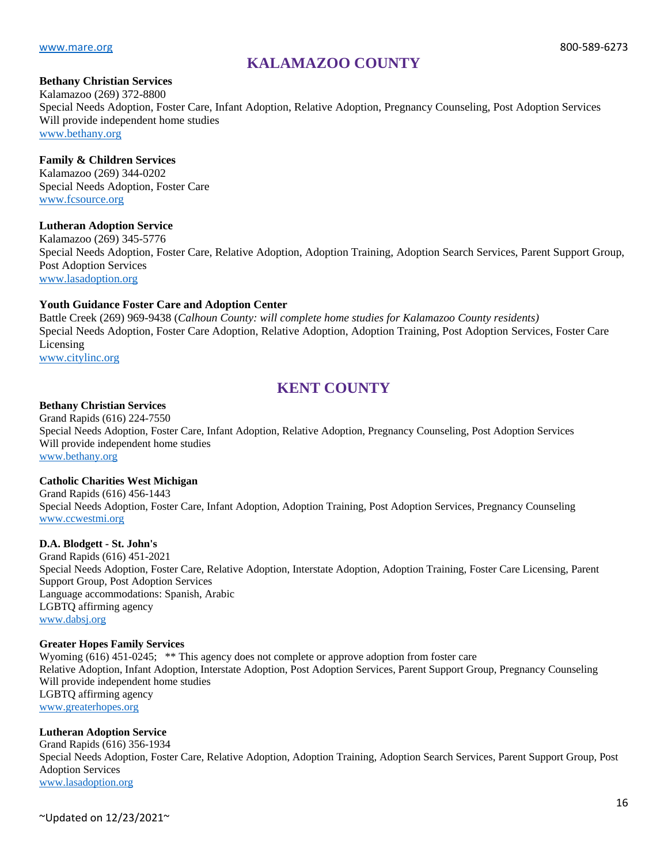# **Bethany Christian Services**

Kalamazoo (269) 372-8800 Special Needs Adoption, Foster Care, Infant Adoption, Relative Adoption, Pregnancy Counseling, Post Adoption Services Will provide independent home studies [www.bethany.org](http://www.bethany.org/)

# **Family & Children Services**

Kalamazoo (269) 344-0202 Special Needs Adoption, Foster Care [www.fcsource.org](http://www.fcsource.org/)

# **Lutheran Adoption Service**

Kalamazoo (269) 345-5776 Special Needs Adoption, Foster Care, Relative Adoption, Adoption Training, Adoption Search Services, Parent Support Group, Post Adoption Services [www.lasadoption.org](http://www.lasadoption.org/)

# **Youth Guidance Foster Care and Adoption Center**

Battle Creek (269) 969-9438 (*Calhoun County: will complete home studies for Kalamazoo County residents)* Special Needs Adoption, Foster Care Adoption, Relative Adoption, Adoption Training, Post Adoption Services, Foster Care Licensing [www.citylinc.org](http://www.citylinc.org/)

# **KENT COUNTY**

### **Bethany Christian Services**

Grand Rapids (616) 224-7550 Special Needs Adoption, Foster Care, Infant Adoption, Relative Adoption, Pregnancy Counseling, Post Adoption Services Will provide independent home studies [www.bethany.org](http://www.bethany.org/)

# **Catholic Charities West Michigan**

Grand Rapids (616) 456-1443 Special Needs Adoption, Foster Care, Infant Adoption, Adoption Training, Post Adoption Services, Pregnancy Counseling [www.ccwestmi.org](http://www.ccwestmi.org/)

# **D.A. Blodgett - St. John's**

Grand Rapids (616) 451-2021 Special Needs Adoption, Foster Care, Relative Adoption, Interstate Adoption, Adoption Training, Foster Care Licensing, Parent Support Group, Post Adoption Services Language accommodations: Spanish, Arabic LGBTQ affirming agency [www.dabsj.org](http://www.dabsj.org/)

# **Greater Hopes Family Services**

Wyoming (616) 451-0245; \*\* This agency does not complete or approve adoption from foster care Relative Adoption, Infant Adoption, Interstate Adoption, Post Adoption Services, Parent Support Group, Pregnancy Counseling Will provide independent home studies LGBTQ affirming agency [www.greaterhopes.org](http://www.greaterhopes.org/)

# **Lutheran Adoption Service**

Grand Rapids (616) 356-1934 Special Needs Adoption, Foster Care, Relative Adoption, Adoption Training, Adoption Search Services, Parent Support Group, Post Adoption Services [www.lasadoption.org](http://www.lasadoption.org/)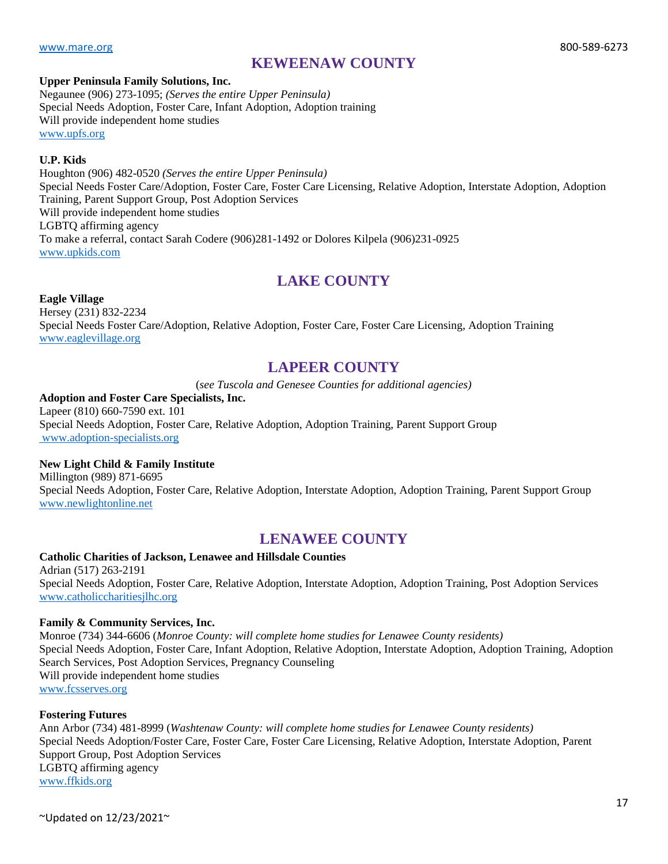# **KEWEENAW COUNTY**

### **Upper Peninsula Family Solutions, Inc.**

Negaunee (906) 273-1095; *(Serves the entire Upper Peninsula)* Special Needs Adoption, Foster Care, Infant Adoption, Adoption training Will provide independent home studies [www.upfs.org](http://www.upfs.org/)

# **U.P. Kids**

Houghton (906) 482-0520 *(Serves the entire Upper Peninsula)* Special Needs Foster Care/Adoption, Foster Care, Foster Care Licensing, Relative Adoption, Interstate Adoption, Adoption Training, Parent Support Group, Post Adoption Services Will provide independent home studies LGBTQ affirming agency To make a referral, contact Sarah Codere (906)281-1492 or Dolores Kilpela (906)231-0925 [www.upkids.com](http://www.upkids.com/)

# **LAKE COUNTY**

### **Eagle Village**

Hersey (231) 832-2234 Special Needs Foster Care/Adoption, Relative Adoption, Foster Care, Foster Care Licensing, Adoption Training [www.eaglevillage.org](http://www.eaglevillage.org/)

# **LAPEER COUNTY**

(*see Tuscola and Genesee Counties for additional agencies)*

#### **Adoption and Foster Care Specialists, Inc.** Lapeer (810) 660-7590 ext. 101

Special Needs Adoption, Foster Care, Relative Adoption, Adoption Training, Parent Support Group [www.adoption-specialists.org](http://www.adoption-specialists.org/)

# **New Light Child & Family Institute**

Millington (989) 871-6695 Special Needs Adoption, Foster Care, Relative Adoption, Interstate Adoption, Adoption Training, Parent Support Group [www.newlightonline.net](http://www.newlightonline.net/)

# **LENAWEE COUNTY**

# **Catholic Charities of Jackson, Lenawee and Hillsdale Counties**

Adrian (517) 263-2191 Special Needs Adoption, Foster Care, Relative Adoption, Interstate Adoption, Adoption Training, Post Adoption Services [www.catholiccharitiesjlhc.org](http://www.catholiccharitiesjlhc.org/)

### **Family & Community Services, Inc.**

Monroe (734) 344-6606 (*Monroe County: will complete home studies for Lenawee County residents)* Special Needs Adoption, Foster Care, Infant Adoption, Relative Adoption, Interstate Adoption, Adoption Training, Adoption Search Services, Post Adoption Services, Pregnancy Counseling Will provide independent home studies [www.fcsserves.org](https://urldefense.proofpoint.com/v2/url?u=http-3A__www.fcsserves.org&d=DwQFAw&c=euGZstcaTDllvimEN8b7jXrwqOf-v5A_CdpgnVfiiMM&r=QmB0e6qn4GS5mBoO3pirSZwLu5aEKcrcW6DV2rHPvsk&m=P5buPibOXD0uNdjiUEeLbnuzJX87JicenESCe0SvbLY&s=K_OLAFoYTP0xs3pnI_x4eO5y5vM7QoJfbf0sJcYghiM&e=)

# **Fostering Futures**

Ann Arbor (734) 481-8999 (*Washtenaw County: will complete home studies for Lenawee County residents)* Special Needs Adoption/Foster Care, Foster Care, Foster Care Licensing, Relative Adoption, Interstate Adoption, Parent Support Group, Post Adoption Services LGBTQ affirming agency [www.ffkids.org](http://www.ffkids.org/)

~Updated on 12/23/2021~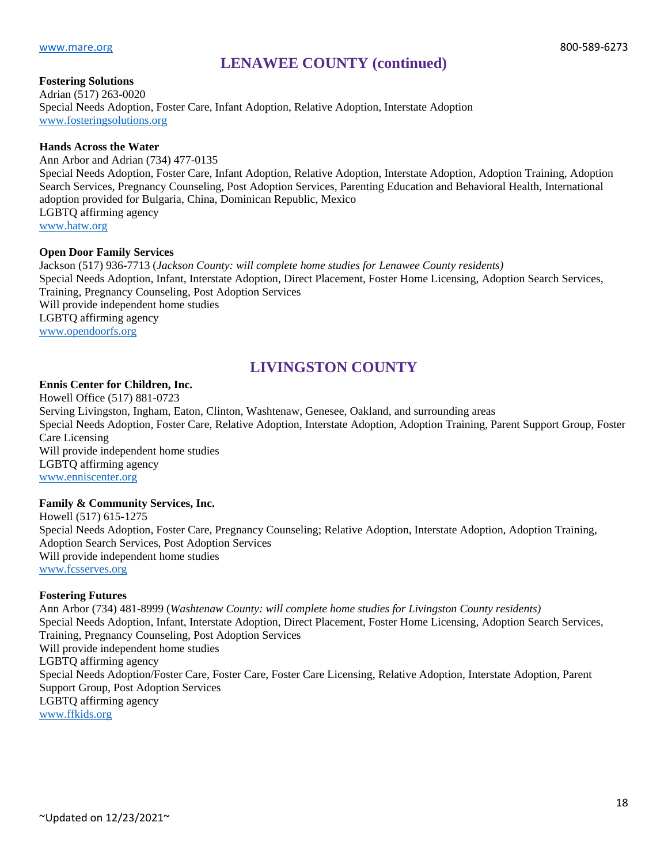Adrian (517) 263-0020 Special Needs Adoption, Foster Care, Infant Adoption, Relative Adoption, Interstate Adoption [www.fosteringsolutions.org](http://www.fosteringsolutions.org/)

# **Hands Across the Water**

Ann Arbor and Adrian (734) 477-0135 Special Needs Adoption, Foster Care, Infant Adoption, Relative Adoption, Interstate Adoption, Adoption Training, Adoption Search Services, Pregnancy Counseling, Post Adoption Services, Parenting Education and Behavioral Health, International adoption provided for Bulgaria, China, Dominican Republic, Mexico LGBTQ affirming agency [www.hatw.org](http://www.hatw.org/)

# **Open Door Family Services**

Jackson (517) 936-7713 (*Jackson County: will complete home studies for Lenawee County residents)* Special Needs Adoption, Infant, Interstate Adoption, Direct Placement, Foster Home Licensing, Adoption Search Services, Training, Pregnancy Counseling, Post Adoption Services Will provide independent home studies LGBTQ affirming agency [www.opendoorfs.org](http://www.opendoorfs.org/)

# **LIVINGSTON COUNTY**

# **Ennis Center for Children, Inc.**

Howell Office (517) 881-0723 Serving Livingston, Ingham, Eaton, Clinton, Washtenaw, Genesee, Oakland, and surrounding areas Special Needs Adoption, Foster Care, Relative Adoption, Interstate Adoption, Adoption Training, Parent Support Group, Foster Care Licensing Will provide independent home studies LGBTQ affirming agency [www.enniscenter.org](https://urldefense.proofpoint.com/v2/url?u=http-3A__www.enniscenter.org&d=DwQFAw&c=euGZstcaTDllvimEN8b7jXrwqOf-v5A_CdpgnVfiiMM&r=QmB0e6qn4GS5mBoO3pirSZwLu5aEKcrcW6DV2rHPvsk&m=HXVrhz7JNH_8Y6rx8eCAZcBvdcwnpjmHF_yx-JFJbKg&s=cqZTwLKEmKPQdmDtNG9rwGrctHHKDNpQfIvnGPxuC3o&e=)

# **Family & Community Services, Inc.**

Howell (517) 615-1275 Special Needs Adoption, Foster Care, Pregnancy Counseling; Relative Adoption, Interstate Adoption, Adoption Training, Adoption Search Services, Post Adoption Services Will provide independent home studies [www.fcsserves.org](https://urldefense.proofpoint.com/v2/url?u=http-3A__www.fcsserves.org&d=DwQFAw&c=euGZstcaTDllvimEN8b7jXrwqOf-v5A_CdpgnVfiiMM&r=QmB0e6qn4GS5mBoO3pirSZwLu5aEKcrcW6DV2rHPvsk&m=P5buPibOXD0uNdjiUEeLbnuzJX87JicenESCe0SvbLY&s=K_OLAFoYTP0xs3pnI_x4eO5y5vM7QoJfbf0sJcYghiM&e=)

# **Fostering Futures**

Ann Arbor (734) 481-8999 (*Washtenaw County: will complete home studies for Livingston County residents)* Special Needs Adoption, Infant, Interstate Adoption, Direct Placement, Foster Home Licensing, Adoption Search Services, Training, Pregnancy Counseling, Post Adoption Services Will provide independent home studies LGBTQ affirming agency Special Needs Adoption/Foster Care, Foster Care, Foster Care Licensing, Relative Adoption, Interstate Adoption, Parent Support Group, Post Adoption Services LGBTQ affirming agency [www.ffkids.org](http://www.ffkids.org/)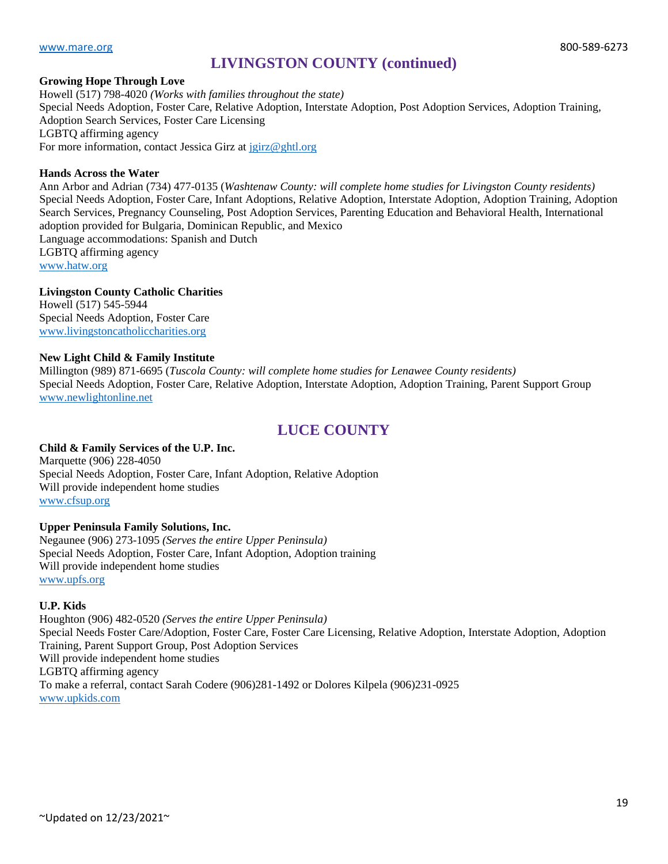# **LIVINGSTON COUNTY (continued)**

### **Growing Hope Through Love**

Howell (517) 798-4020 *(Works with families throughout the state)* Special Needs Adoption, Foster Care, Relative Adoption, Interstate Adoption, Post Adoption Services, Adoption Training, Adoption Search Services, Foster Care Licensing LGBTQ affirming agency For more information, contact Jessica Girz at [jgirz@ghtl.org](mailto:jgirz@ghtl.org)

# **Hands Across the Water**

Ann Arbor and Adrian (734) 477-0135 (*Washtenaw County: will complete home studies for Livingston County residents)* Special Needs Adoption, Foster Care, Infant Adoptions, Relative Adoption, Interstate Adoption, Adoption Training, Adoption Search Services, Pregnancy Counseling, Post Adoption Services, Parenting Education and Behavioral Health, International adoption provided for Bulgaria, Dominican Republic, and Mexico Language accommodations: Spanish and Dutch LGBTQ affirming agency

[www.hatw.org](http://www.hatw.org/)

# **Livingston County Catholic Charities**

Howell (517) 545-5944 Special Needs Adoption, Foster Care [www.livingstoncatholiccharities.org](http://www.livingstoncatholiccharities.org/)

# **New Light Child & Family Institute**

Millington (989) 871-6695 (*Tuscola County: will complete home studies for Lenawee County residents)* Special Needs Adoption, Foster Care, Relative Adoption, Interstate Adoption, Adoption Training, Parent Support Group [www.newlightonline.net](http://www.newlightonline.net/)

# **LUCE COUNTY**

# **Child & Family Services of the U.P. Inc.**

Marquette (906) 228-4050 Special Needs Adoption, Foster Care, Infant Adoption, Relative Adoption Will provide independent home studies [www.cfsup.org](http://www.cfsup.org/)

# **Upper Peninsula Family Solutions, Inc.**

Negaunee (906) 273-1095 *(Serves the entire Upper Peninsula)* Special Needs Adoption, Foster Care, Infant Adoption, Adoption training Will provide independent home studies [www.upfs.org](http://www.upfs.org/)

# **U.P. Kids**

Houghton (906) 482-0520 *(Serves the entire Upper Peninsula)* Special Needs Foster Care/Adoption, Foster Care, Foster Care Licensing, Relative Adoption, Interstate Adoption, Adoption Training, Parent Support Group, Post Adoption Services Will provide independent home studies LGBTQ affirming agency To make a referral, contact Sarah Codere (906)281-1492 or Dolores Kilpela (906)231-0925 [www.upkids.com](http://www.upkids.com/)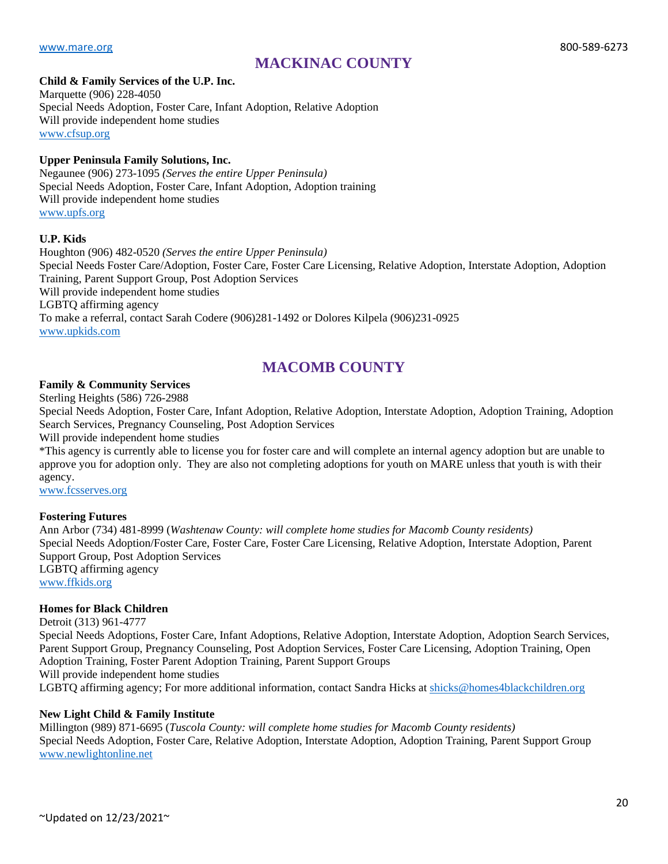# **MACKINAC COUNTY**

# **Child & Family Services of the U.P. Inc.**

Marquette (906) 228-4050 Special Needs Adoption, Foster Care, Infant Adoption, Relative Adoption Will provide independent home studies [www.cfsup.org](http://www.cfsup.org/)

### **Upper Peninsula Family Solutions, Inc.**

Negaunee (906) 273-1095 *(Serves the entire Upper Peninsula)* Special Needs Adoption, Foster Care, Infant Adoption, Adoption training Will provide independent home studies [www.upfs.org](http://www.upfs.org/)

### **U.P. Kids**

Houghton (906) 482-0520 *(Serves the entire Upper Peninsula)* Special Needs Foster Care/Adoption, Foster Care, Foster Care Licensing, Relative Adoption, Interstate Adoption, Adoption Training, Parent Support Group, Post Adoption Services Will provide independent home studies LGBTQ affirming agency To make a referral, contact Sarah Codere (906)281-1492 or Dolores Kilpela (906)231-0925 [www.upkids.com](http://www.upkids.com/)

# **MACOMB COUNTY**

# **Family & Community Services**

Sterling Heights (586) 726-2988

Special Needs Adoption, Foster Care, Infant Adoption, Relative Adoption, Interstate Adoption, Adoption Training, Adoption Search Services, Pregnancy Counseling, Post Adoption Services

Will provide independent home studies

\*This agency is currently able to license you for foster care and will complete an internal agency adoption but are unable to approve you for adoption only. They are also not completing adoptions for youth on MARE unless that youth is with their agency.

[www.fcsserves.org](http://www.fcsserves.org/)

# **Fostering Futures**

Ann Arbor (734) 481-8999 (*Washtenaw County: will complete home studies for Macomb County residents)* Special Needs Adoption/Foster Care, Foster Care, Foster Care Licensing, Relative Adoption, Interstate Adoption, Parent Support Group, Post Adoption Services LGBTQ affirming agency [www.ffkids.org](http://www.ffkids.org/)

#### **Homes for Black Children**

Detroit (313) 961-4777

Special Needs Adoptions, Foster Care, Infant Adoptions, Relative Adoption, Interstate Adoption, Adoption Search Services, Parent Support Group, Pregnancy Counseling, Post Adoption Services, Foster Care Licensing, Adoption Training, Open Adoption Training, Foster Parent Adoption Training, Parent Support Groups Will provide independent home studies LGBTO affirming agency; For more additional information, contact Sandra Hicks at [shicks@homes4blackchildren.org](mailto:shicks@homes4blackchildren.org)

# **New Light Child & Family Institute**

Millington (989) 871-6695 (*Tuscola County: will complete home studies for Macomb County residents)* Special Needs Adoption, Foster Care, Relative Adoption, Interstate Adoption, Adoption Training, Parent Support Group [www.newlightonline.net](http://www.newlightonline.net/)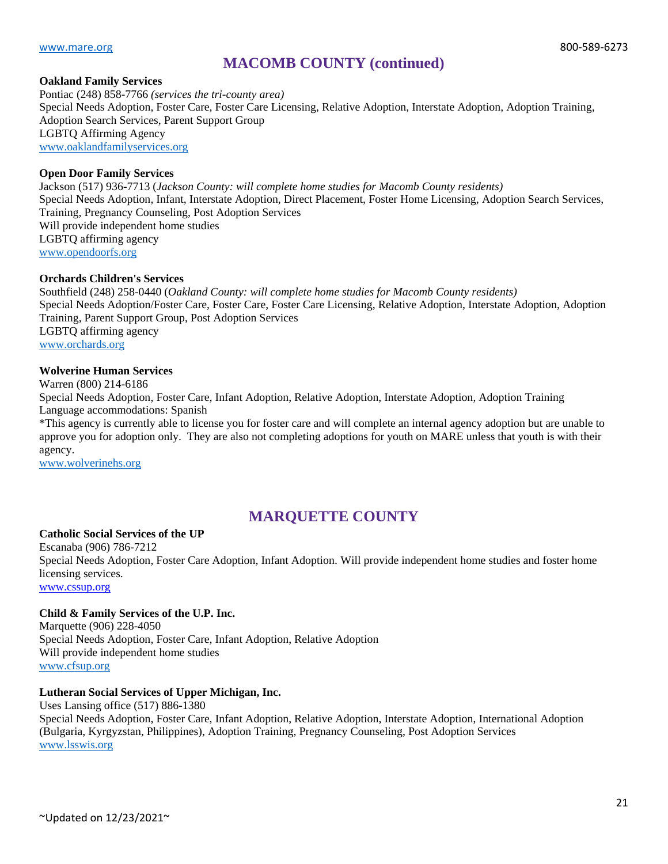# **MACOMB COUNTY (continued)**

### **Oakland Family Services**

Pontiac (248) 858-7766 *(services the tri-county area)* Special Needs Adoption, Foster Care, Foster Care Licensing, Relative Adoption, Interstate Adoption, Adoption Training, Adoption Search Services, Parent Support Group LGBTQ Affirming Agency [www.oaklandfamilyservices.org](http://www.oaklandfamilyservices.org/)

# **Open Door Family Services**

Jackson (517) 936-7713 (*Jackson County: will complete home studies for Macomb County residents)* Special Needs Adoption, Infant, Interstate Adoption, Direct Placement, Foster Home Licensing, Adoption Search Services, Training, Pregnancy Counseling, Post Adoption Services Will provide independent home studies LGBTQ affirming agency [www.opendoorfs.org](http://www.opendoorfs.org/)

# **Orchards Children's Services**

Southfield (248) 258-0440 (*Oakland County: will complete home studies for Macomb County residents)* Special Needs Adoption/Foster Care, Foster Care, Foster Care Licensing, Relative Adoption, Interstate Adoption, Adoption Training, Parent Support Group, Post Adoption Services LGBTQ affirming agency [www.orchards.org](http://www.orchards.org/)

### **Wolverine Human Services**

Warren (800) 214-6186

Special Needs Adoption, Foster Care, Infant Adoption, Relative Adoption, Interstate Adoption, Adoption Training Language accommodations: Spanish

\*This agency is currently able to license you for foster care and will complete an internal agency adoption but are unable to approve you for adoption only. They are also not completing adoptions for youth on MARE unless that youth is with their agency.

[www.wolverinehs.org](http://www.wolverinehs.org/)

# **MARQUETTE COUNTY**

# **Catholic Social Services of the UP**

Escanaba (906) 786-7212 Special Needs Adoption, Foster Care Adoption, Infant Adoption. Will provide independent home studies and foster home licensing services. [www.cssup.org](https://urldefense.proofpoint.com/v2/url?u=http-3A__www.cssup.org&d=DwQF-g&c=euGZstcaTDllvimEN8b7jXrwqOf-v5A_CdpgnVfiiMM&r=QmB0e6qn4GS5mBoO3pirSZwLu5aEKcrcW6DV2rHPvsk&m=VF3mxIu_OzLIWiJrJgFFTJCONMUpsccUlqzTMMGuj1I&s=KLbjyGBYmxxRMEBuGv3sI7es8_klyDrKs0Zlc40hwxY&e=)

# **Child & Family Services of the U.P. Inc.**

Marquette (906) 228-4050 Special Needs Adoption, Foster Care, Infant Adoption, Relative Adoption Will provide independent home studies [www.cfsup.org](http://www.cfsup.org/)

# **Lutheran Social Services of Upper Michigan, Inc.**

Uses Lansing office (517) 886-1380 Special Needs Adoption, Foster Care, Infant Adoption, Relative Adoption, Interstate Adoption, International Adoption (Bulgaria, Kyrgyzstan, Philippines), Adoption Training, Pregnancy Counseling, Post Adoption Services [www.lsswis.org](http://www.lsswis.org/)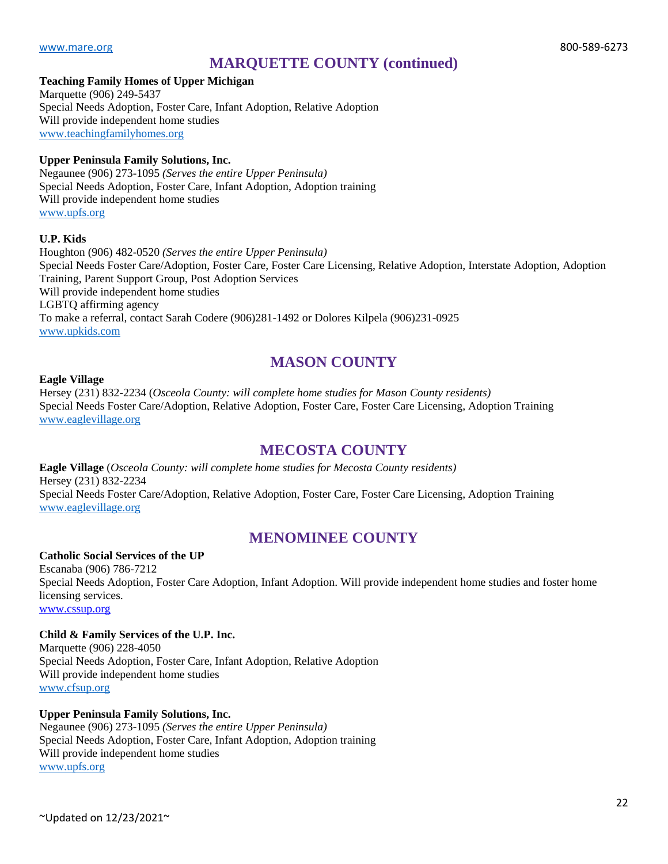# **MARQUETTE COUNTY (continued)**

# **Teaching Family Homes of Upper Michigan**

Marquette (906) 249-5437 Special Needs Adoption, Foster Care, Infant Adoption, Relative Adoption Will provide independent home studies [www.teachingfamilyhomes.org](http://www.teachingfamilyhomes.org/)

# **Upper Peninsula Family Solutions, Inc.**

Negaunee (906) 273-1095 *(Serves the entire Upper Peninsula)* Special Needs Adoption, Foster Care, Infant Adoption, Adoption training Will provide independent home studies [www.upfs.org](http://www.upfs.org/)

# **U.P. Kids**

Houghton (906) 482-0520 *(Serves the entire Upper Peninsula)* Special Needs Foster Care/Adoption, Foster Care, Foster Care Licensing, Relative Adoption, Interstate Adoption, Adoption Training, Parent Support Group, Post Adoption Services Will provide independent home studies LGBTQ affirming agency To make a referral, contact Sarah Codere (906)281-1492 or Dolores Kilpela (906)231-0925 [www.upkids.com](http://www.upkids.com/)

# **MASON COUNTY**

# **Eagle Village**

Hersey (231) 832-2234 (*Osceola County: will complete home studies for Mason County residents)* Special Needs Foster Care/Adoption, Relative Adoption, Foster Care, Foster Care Licensing, Adoption Training [www.eaglevillage.org](http://www.eaglevillage.org/)

# **MECOSTA COUNTY**

**Eagle Village** (*Osceola County: will complete home studies for Mecosta County residents)* Hersey (231) 832-2234 Special Needs Foster Care/Adoption, Relative Adoption, Foster Care, Foster Care Licensing, Adoption Training [www.eaglevillage.org](http://www.eaglevillage.org/)

# **MENOMINEE COUNTY**

# **Catholic Social Services of the UP**

Escanaba (906) 786-7212 Special Needs Adoption, Foster Care Adoption, Infant Adoption. Will provide independent home studies and foster home licensing services. [www.cssup.org](https://urldefense.proofpoint.com/v2/url?u=http-3A__www.cssup.org&d=DwQF-g&c=euGZstcaTDllvimEN8b7jXrwqOf-v5A_CdpgnVfiiMM&r=QmB0e6qn4GS5mBoO3pirSZwLu5aEKcrcW6DV2rHPvsk&m=VF3mxIu_OzLIWiJrJgFFTJCONMUpsccUlqzTMMGuj1I&s=KLbjyGBYmxxRMEBuGv3sI7es8_klyDrKs0Zlc40hwxY&e=)

# **Child & Family Services of the U.P. Inc.**

Marquette (906) 228-4050 Special Needs Adoption, Foster Care, Infant Adoption, Relative Adoption Will provide independent home studies [www.cfsup.org](http://www.cfsup.org/)

# **Upper Peninsula Family Solutions, Inc.**

Negaunee (906) 273-1095 *(Serves the entire Upper Peninsula)* Special Needs Adoption, Foster Care, Infant Adoption, Adoption training Will provide independent home studies [www.upfs.org](http://www.upfs.org/)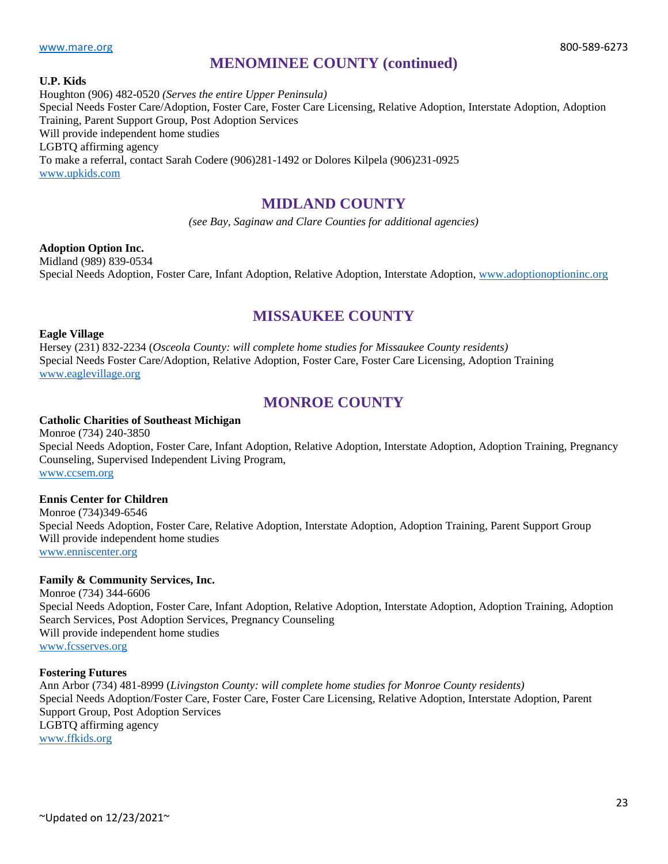# **MENOMINEE COUNTY (continued)**

**U.P. Kids** Houghton (906) 482-0520 *(Serves the entire Upper Peninsula)* Special Needs Foster Care/Adoption, Foster Care, Foster Care Licensing, Relative Adoption, Interstate Adoption, Adoption Training, Parent Support Group, Post Adoption Services Will provide independent home studies LGBTQ affirming agency To make a referral, contact Sarah Codere (906)281-1492 or Dolores Kilpela (906)231-0925 [www.upkids.com](http://www.upkids.com/)

# **MIDLAND COUNTY**

*(see Bay, Saginaw and Clare Counties for additional agencies)*

# **Adoption Option Inc.**

Midland (989) 839-0534 Special Needs Adoption, Foster Care, Infant Adoption, Relative Adoption, Interstate Adoption, [www.adoptionoptioninc.org](http://www.adoptionoptioninc.org/)

# **MISSAUKEE COUNTY**

#### **Eagle Village**

Hersey (231) 832-2234 (*Osceola County: will complete home studies for Missaukee County residents)* Special Needs Foster Care/Adoption, Relative Adoption, Foster Care, Foster Care Licensing, Adoption Training [www.eaglevillage.org](http://www.eaglevillage.org/)

# **MONROE COUNTY**

# **Catholic Charities of Southeast Michigan**

Monroe (734) 240-3850 Special Needs Adoption, Foster Care, Infant Adoption, Relative Adoption, Interstate Adoption, Adoption Training, Pregnancy Counseling, Supervised Independent Living Program, [www.ccsem.org](http://www.ccsem.org/)

#### **Ennis Center for Children**

Monroe (734)349-6546 Special Needs Adoption, Foster Care, Relative Adoption, Interstate Adoption, Adoption Training, Parent Support Group Will provide independent home studies [www.enniscenter.org](http://www.enniscenter.org/)

# **Family & Community Services, Inc.**

Monroe (734) 344-6606 Special Needs Adoption, Foster Care, Infant Adoption, Relative Adoption, Interstate Adoption, Adoption Training, Adoption Search Services, Post Adoption Services, Pregnancy Counseling Will provide independent home studies [www.fcsserves.org](https://urldefense.proofpoint.com/v2/url?u=http-3A__www.fcsserves.org&d=DwQFAw&c=euGZstcaTDllvimEN8b7jXrwqOf-v5A_CdpgnVfiiMM&r=QmB0e6qn4GS5mBoO3pirSZwLu5aEKcrcW6DV2rHPvsk&m=P5buPibOXD0uNdjiUEeLbnuzJX87JicenESCe0SvbLY&s=K_OLAFoYTP0xs3pnI_x4eO5y5vM7QoJfbf0sJcYghiM&e=)

#### **Fostering Futures**

Ann Arbor (734) 481-8999 (*Livingston County: will complete home studies for Monroe County residents)* Special Needs Adoption/Foster Care, Foster Care, Foster Care Licensing, Relative Adoption, Interstate Adoption, Parent Support Group, Post Adoption Services LGBTQ affirming agency [www.ffkids.org](http://www.ffkids.org/)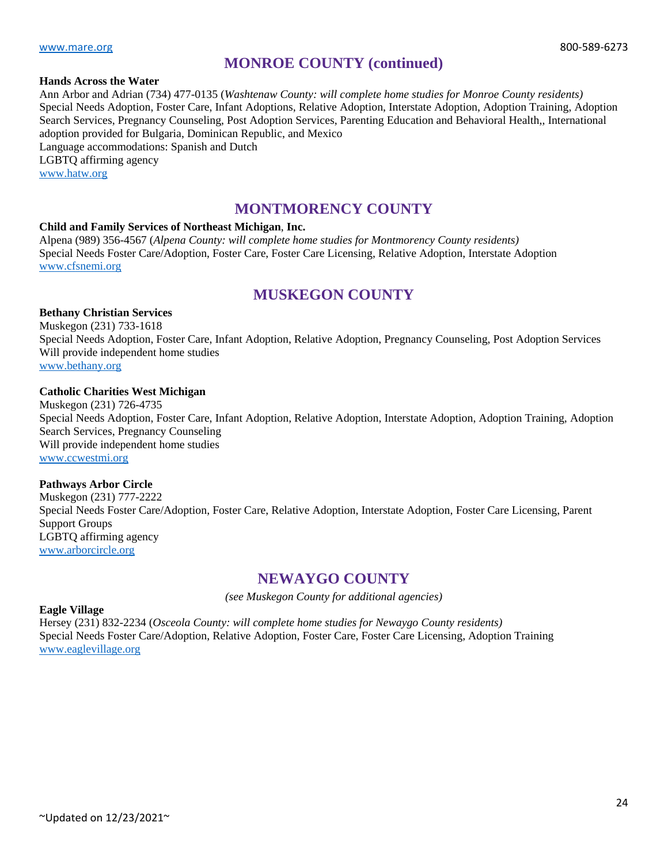# **MONROE COUNTY (continued)**

#### **Hands Across the Water**

Ann Arbor and Adrian (734) 477-0135 (*Washtenaw County: will complete home studies for Monroe County residents)* Special Needs Adoption, Foster Care, Infant Adoptions, Relative Adoption, Interstate Adoption, Adoption Training, Adoption Search Services, Pregnancy Counseling, Post Adoption Services, Parenting Education and Behavioral Health,, International adoption provided for Bulgaria, Dominican Republic, and Mexico Language accommodations: Spanish and Dutch LGBTQ affirming agency [www.hatw.org](http://www.hatw.org/)

# **MONTMORENCY COUNTY**

#### **Child and Family Services of Northeast Michigan**, **Inc.**

Alpena (989) 356-4567 (*Alpena County: will complete home studies for Montmorency County residents)* Special Needs Foster Care/Adoption, Foster Care, Foster Care Licensing, Relative Adoption, Interstate Adoption [www.cfsnemi.org](http://www.cfsnemi.org/)

# **MUSKEGON COUNTY**

# **Bethany Christian Services**

Muskegon (231) 733-1618 Special Needs Adoption, Foster Care, Infant Adoption, Relative Adoption, Pregnancy Counseling, Post Adoption Services Will provide independent home studies [www.bethany.org](http://www.bethany.org/)

#### **Catholic Charities West Michigan**

Muskegon (231) 726-4735 Special Needs Adoption, Foster Care, Infant Adoption, Relative Adoption, Interstate Adoption, Adoption Training, Adoption Search Services, Pregnancy Counseling Will provide independent home studies [www.ccwestmi.org](http://www.ccwestmi.org/)

#### **Pathways Arbor Circle**

Muskegon (231) 777-2222 Special Needs Foster Care/Adoption, Foster Care, Relative Adoption, Interstate Adoption, Foster Care Licensing, Parent Support Groups LGBTQ affirming agency [www.arborcircle.org](http://www.arborcircle.org/)

# **NEWAYGO COUNTY**

*(see Muskegon County for additional agencies)*

#### **Eagle Village**

Hersey (231) 832-2234 (*Osceola County: will complete home studies for Newaygo County residents)* Special Needs Foster Care/Adoption, Relative Adoption, Foster Care, Foster Care Licensing, Adoption Training [www.eaglevillage.org](http://www.eaglevillage.org/)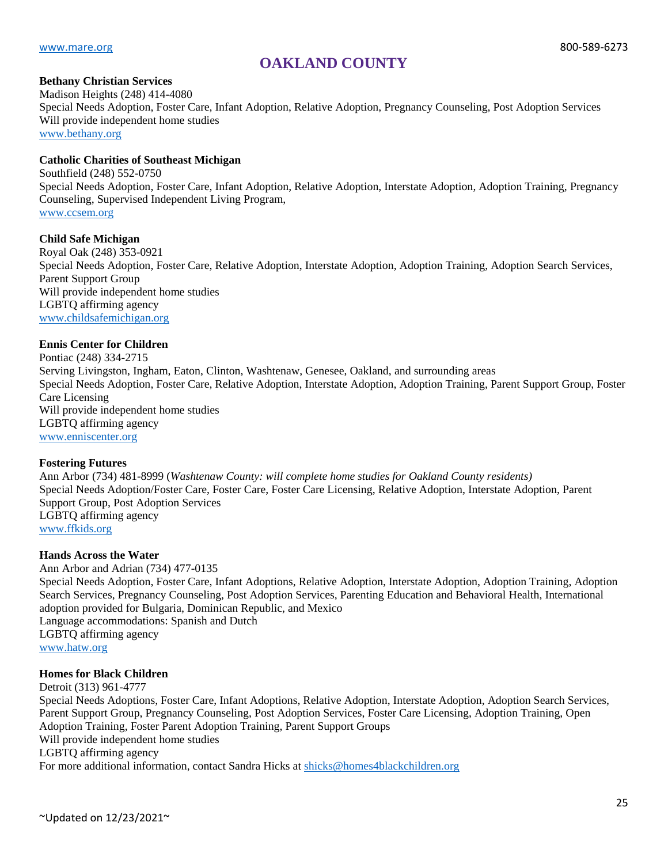# **OAKLAND COUNTY**

# **Bethany Christian Services**

Madison Heights (248) 414-4080 Special Needs Adoption, Foster Care, Infant Adoption, Relative Adoption, Pregnancy Counseling, Post Adoption Services Will provide independent home studies [www.bethany.org](http://www.bethany.org/)

# **Catholic Charities of Southeast Michigan**

Southfield (248) 552-0750 Special Needs Adoption, Foster Care, Infant Adoption, Relative Adoption, Interstate Adoption, Adoption Training, Pregnancy Counseling, Supervised Independent Living Program, [www.ccsem.org](http://www.ccsem.org/)

# **Child Safe Michigan**

Royal Oak (248) 353-0921 Special Needs Adoption, Foster Care, Relative Adoption, Interstate Adoption, Adoption Training, Adoption Search Services, Parent Support Group Will provide independent home studies LGBTQ affirming agency [www.childsafemichigan.org](http://www.childsafemichigan.org/)

# **Ennis Center for Children**

Pontiac (248) 334-2715 Serving Livingston, Ingham, Eaton, Clinton, Washtenaw, Genesee, Oakland, and surrounding areas Special Needs Adoption, Foster Care, Relative Adoption, Interstate Adoption, Adoption Training, Parent Support Group, Foster Care Licensing Will provide independent home studies LGBTQ affirming agency [www.enniscenter.org](https://urldefense.proofpoint.com/v2/url?u=http-3A__www.enniscenter.org&d=DwQFAw&c=euGZstcaTDllvimEN8b7jXrwqOf-v5A_CdpgnVfiiMM&r=QmB0e6qn4GS5mBoO3pirSZwLu5aEKcrcW6DV2rHPvsk&m=HXVrhz7JNH_8Y6rx8eCAZcBvdcwnpjmHF_yx-JFJbKg&s=cqZTwLKEmKPQdmDtNG9rwGrctHHKDNpQfIvnGPxuC3o&e=)

#### **Fostering Futures**

Ann Arbor (734) 481-8999 (*Washtenaw County: will complete home studies for Oakland County residents)* Special Needs Adoption/Foster Care, Foster Care, Foster Care Licensing, Relative Adoption, Interstate Adoption, Parent Support Group, Post Adoption Services LGBTQ affirming agency [www.ffkids.org](http://www.ffkids.org/)

### **Hands Across the Water**

Ann Arbor and Adrian (734) 477-0135 Special Needs Adoption, Foster Care, Infant Adoptions, Relative Adoption, Interstate Adoption, Adoption Training, Adoption Search Services, Pregnancy Counseling, Post Adoption Services, Parenting Education and Behavioral Health, International adoption provided for Bulgaria, Dominican Republic, and Mexico Language accommodations: Spanish and Dutch LGBTQ affirming agency [www.hatw.org](http://www.hatw.org/)

### **Homes for Black Children**

Detroit (313) 961-4777 Special Needs Adoptions, Foster Care, Infant Adoptions, Relative Adoption, Interstate Adoption, Adoption Search Services, Parent Support Group, Pregnancy Counseling, Post Adoption Services, Foster Care Licensing, Adoption Training, Open Adoption Training, Foster Parent Adoption Training, Parent Support Groups Will provide independent home studies LGBTQ affirming agency For more additional information, contact Sandra Hicks at [shicks@homes4blackchildren.org](mailto:shicks@homes4blackchildren.org)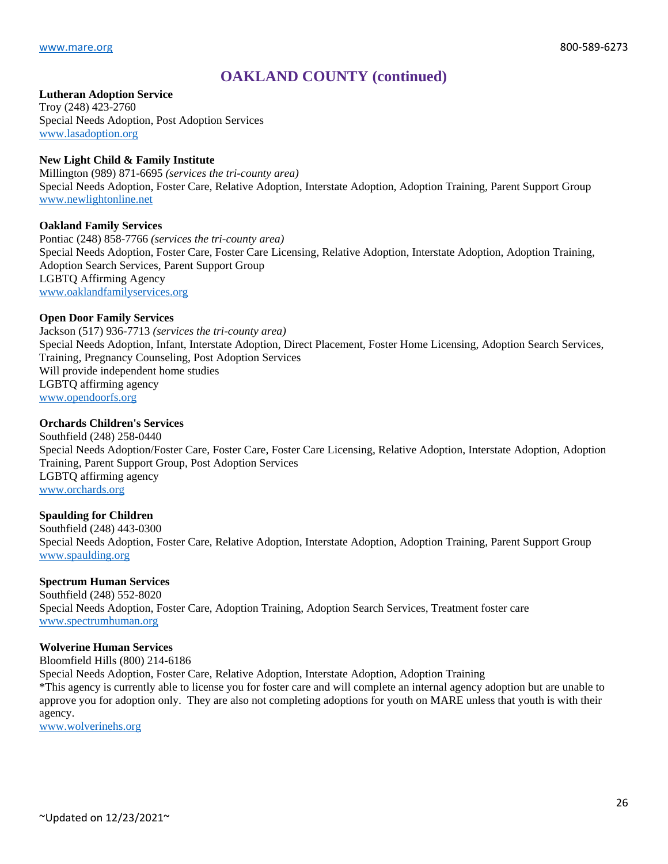# **OAKLAND COUNTY (continued)**

### **Lutheran Adoption Service**

Troy (248) 423-2760 Special Needs Adoption, Post Adoption Services [www.lasadoption.org](http://www.lasadoption.org/)

# **New Light Child & Family Institute**

Millington (989) 871-6695 *(services the tri-county area)* Special Needs Adoption, Foster Care, Relative Adoption, Interstate Adoption, Adoption Training, Parent Support Group [www.newlightonline.net](http://www.newlightonline.net/)

# **Oakland Family Services**

Pontiac (248) 858-7766 *(services the tri-county area)* Special Needs Adoption, Foster Care, Foster Care Licensing, Relative Adoption, Interstate Adoption, Adoption Training, Adoption Search Services, Parent Support Group LGBTQ Affirming Agency [www.oaklandfamilyservices.org](http://www.oaklandfamilyservices.org/)

### **Open Door Family Services**

Jackson (517) 936-7713 *(services the tri-county area)* Special Needs Adoption, Infant, Interstate Adoption, Direct Placement, Foster Home Licensing, Adoption Search Services, Training, Pregnancy Counseling, Post Adoption Services Will provide independent home studies LGBTQ affirming agency [www.opendoorfs.org](http://www.opendoorfs.org/)

### **Orchards Children's Services**

Southfield (248) 258-0440 Special Needs Adoption/Foster Care, Foster Care, Foster Care Licensing, Relative Adoption, Interstate Adoption, Adoption Training, Parent Support Group, Post Adoption Services LGBTQ affirming agency [www.orchards.org](http://www.orchards.org/)

# **Spaulding for Children**

Southfield (248) 443-0300 Special Needs Adoption, Foster Care, Relative Adoption, Interstate Adoption, Adoption Training, Parent Support Group [www.spaulding.org](http://www.spaulding.org/)

# **Spectrum Human Services**

Southfield (248) 552-8020 Special Needs Adoption, Foster Care, Adoption Training, Adoption Search Services, Treatment foster care [www.spectrumhuman.org](http://www.spectrumhuman.org/)

# **Wolverine Human Services**

Bloomfield Hills (800) 214-6186 Special Needs Adoption, Foster Care, Relative Adoption, Interstate Adoption, Adoption Training \*This agency is currently able to license you for foster care and will complete an internal agency adoption but are unable to approve you for adoption only. They are also not completing adoptions for youth on MARE unless that youth is with their agency.

[www.wolverinehs.org](http://www.wolverinehs.org/)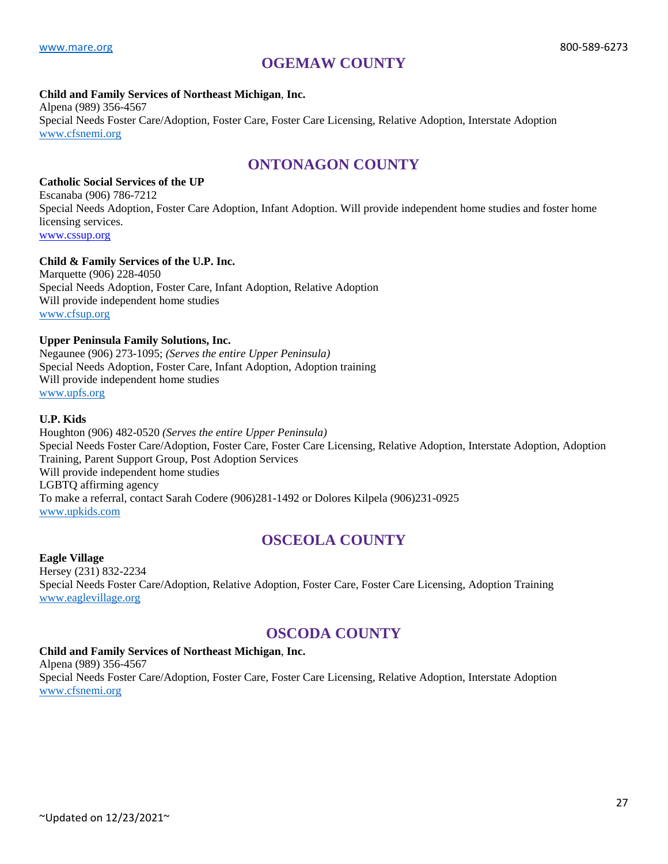# **OGEMAW COUNTY**

### **Child and Family Services of Northeast Michigan**, **Inc.**

Alpena (989) 356-4567 Special Needs Foster Care/Adoption, Foster Care, Foster Care Licensing, Relative Adoption, Interstate Adoption [www.cfsnemi.org](http://www.cfsnemi.org/)

# **ONTONAGON COUNTY**

# **Catholic Social Services of the UP**

Escanaba (906) 786-7212 Special Needs Adoption, Foster Care Adoption, Infant Adoption. Will provide independent home studies and foster home licensing services. [www.cssup.org](https://urldefense.proofpoint.com/v2/url?u=http-3A__www.cssup.org&d=DwQF-g&c=euGZstcaTDllvimEN8b7jXrwqOf-v5A_CdpgnVfiiMM&r=QmB0e6qn4GS5mBoO3pirSZwLu5aEKcrcW6DV2rHPvsk&m=VF3mxIu_OzLIWiJrJgFFTJCONMUpsccUlqzTMMGuj1I&s=KLbjyGBYmxxRMEBuGv3sI7es8_klyDrKs0Zlc40hwxY&e=)

# **Child & Family Services of the U.P. Inc.**

Marquette (906) 228-4050 Special Needs Adoption, Foster Care, Infant Adoption, Relative Adoption Will provide independent home studies [www.cfsup.org](http://www.cfsup.org/)

# **Upper Peninsula Family Solutions, Inc.**

Negaunee (906) 273-1095; *(Serves the entire Upper Peninsula)* Special Needs Adoption, Foster Care, Infant Adoption, Adoption training Will provide independent home studies [www.upfs.org](http://www.upfs.org/)

# **U.P. Kids**

Houghton (906) 482-0520 *(Serves the entire Upper Peninsula)* Special Needs Foster Care/Adoption, Foster Care, Foster Care Licensing, Relative Adoption, Interstate Adoption, Adoption Training, Parent Support Group, Post Adoption Services Will provide independent home studies LGBTQ affirming agency To make a referral, contact Sarah Codere (906)281-1492 or Dolores Kilpela (906)231-0925 [www.upkids.com](http://www.upkids.com/)

# **OSCEOLA COUNTY**

#### **Eagle Village**

Hersey (231) 832-2234 Special Needs Foster Care/Adoption, Relative Adoption, Foster Care, Foster Care Licensing, Adoption Training [www.eaglevillage.org](http://www.eaglevillage.org/)

# **OSCODA COUNTY**

# **Child and Family Services of Northeast Michigan**, **Inc.**

Alpena (989) 356-4567 Special Needs Foster Care/Adoption, Foster Care, Foster Care Licensing, Relative Adoption, Interstate Adoption [www.cfsnemi.org](http://www.cfsnemi.org/)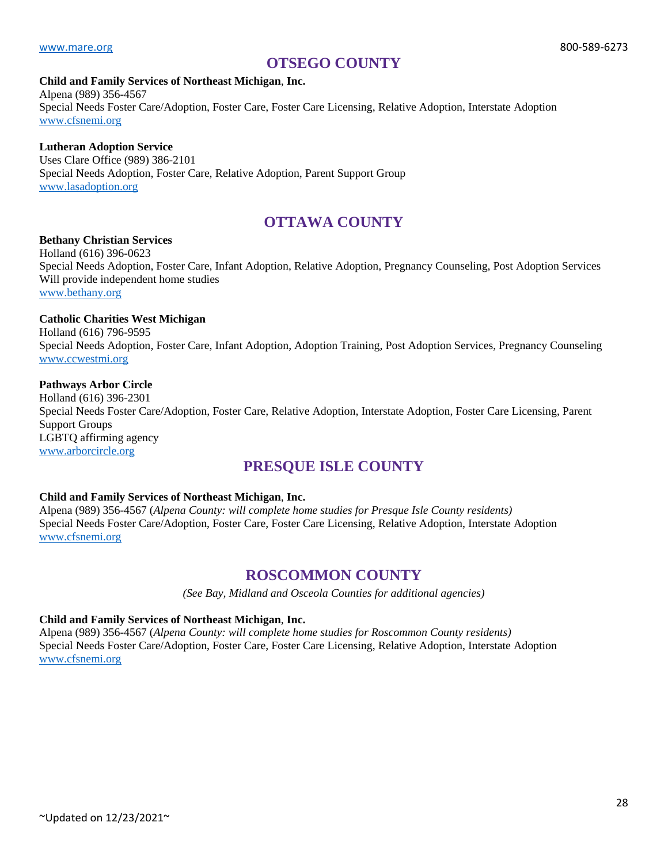# **OTSEGO COUNTY**

Alpena (989) 356-4567 Special Needs Foster Care/Adoption, Foster Care, Foster Care Licensing, Relative Adoption, Interstate Adoption [www.cfsnemi.org](http://www.cfsnemi.org/)

### **Lutheran Adoption Service**

Uses Clare Office (989) 386-2101 Special Needs Adoption, Foster Care, Relative Adoption, Parent Support Group [www.lasadoption.org](http://www.lasadoption.org/)

# **OTTAWA COUNTY**

# **Bethany Christian Services**

Holland (616) 396-0623 Special Needs Adoption, Foster Care, Infant Adoption, Relative Adoption, Pregnancy Counseling, Post Adoption Services Will provide independent home studies [www.bethany.org](http://www.bethany.org/)

### **Catholic Charities West Michigan**

Holland (616) 796-9595 Special Needs Adoption, Foster Care, Infant Adoption, Adoption Training, Post Adoption Services, Pregnancy Counseling [www.ccwestmi.org](http://www.ccwestmi.org/)

# **Pathways Arbor Circle**

Holland (616) 396-2301 Special Needs Foster Care/Adoption, Foster Care, Relative Adoption, Interstate Adoption, Foster Care Licensing, Parent Support Groups LGBTQ affirming agency [www.arborcircle.org](http://www.arborcircle.org/)

# **PRESQUE ISLE COUNTY**

### **Child and Family Services of Northeast Michigan**, **Inc.**

Alpena (989) 356-4567 (*Alpena County: will complete home studies for Presque Isle County residents)* Special Needs Foster Care/Adoption, Foster Care, Foster Care Licensing, Relative Adoption, Interstate Adoption [www.cfsnemi.org](http://www.cfsnemi.org/)

# **ROSCOMMON COUNTY**

*(See Bay, Midland and Osceola Counties for additional agencies)*

### **Child and Family Services of Northeast Michigan**, **Inc.**

Alpena (989) 356-4567 (*Alpena County: will complete home studies for Roscommon County residents)* Special Needs Foster Care/Adoption, Foster Care, Foster Care Licensing, Relative Adoption, Interstate Adoption [www.cfsnemi.org](http://www.cfsnemi.org/)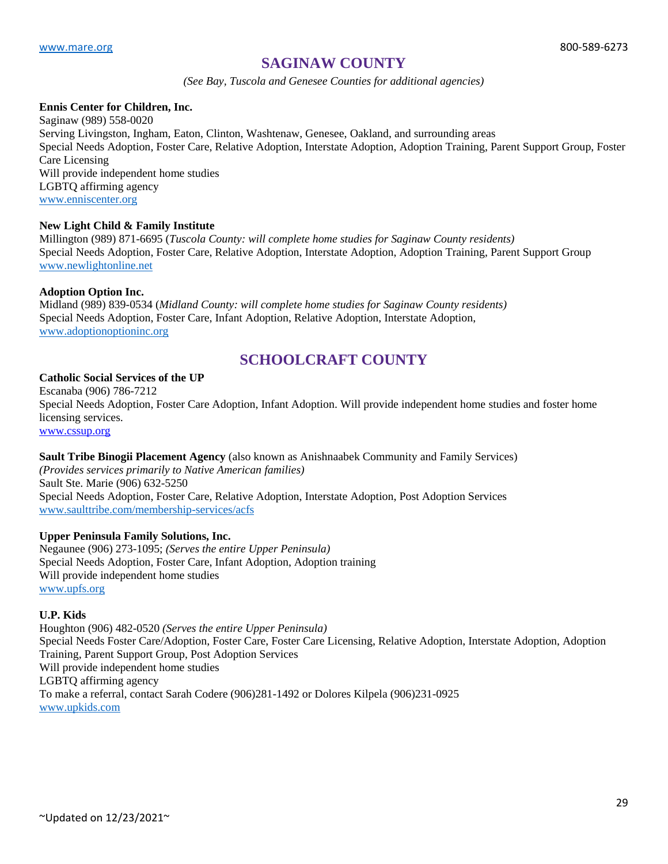*(See Bay, Tuscola and Genesee Counties for additional agencies)*

#### **Ennis Center for Children, Inc.**

Saginaw (989) 558-0020 Serving Livingston, Ingham, Eaton, Clinton, Washtenaw, Genesee, Oakland, and surrounding areas Special Needs Adoption, Foster Care, Relative Adoption, Interstate Adoption, Adoption Training, Parent Support Group, Foster Care Licensing Will provide independent home studies LGBTQ affirming agency [www.enniscenter.org](https://urldefense.proofpoint.com/v2/url?u=http-3A__www.enniscenter.org&d=DwQFAw&c=euGZstcaTDllvimEN8b7jXrwqOf-v5A_CdpgnVfiiMM&r=QmB0e6qn4GS5mBoO3pirSZwLu5aEKcrcW6DV2rHPvsk&m=HXVrhz7JNH_8Y6rx8eCAZcBvdcwnpjmHF_yx-JFJbKg&s=cqZTwLKEmKPQdmDtNG9rwGrctHHKDNpQfIvnGPxuC3o&e=)

### **New Light Child & Family Institute**

Millington (989) 871-6695 (*Tuscola County: will complete home studies for Saginaw County residents)* Special Needs Adoption, Foster Care, Relative Adoption, Interstate Adoption, Adoption Training, Parent Support Group [www.newlightonline.net](http://www.newlightonline.net/)

#### **Adoption Option Inc.**

Midland (989) 839-0534 (*Midland County: will complete home studies for Saginaw County residents)* Special Needs Adoption, Foster Care, Infant Adoption, Relative Adoption, Interstate Adoption, [www.adoptionoptioninc.org](http://www.adoptionoptioninc.org/)

# **SCHOOLCRAFT COUNTY**

# **Catholic Social Services of the UP**

Escanaba (906) 786-7212 Special Needs Adoption, Foster Care Adoption, Infant Adoption. Will provide independent home studies and foster home licensing services. [www.cssup.org](https://urldefense.proofpoint.com/v2/url?u=http-3A__www.cssup.org&d=DwQF-g&c=euGZstcaTDllvimEN8b7jXrwqOf-v5A_CdpgnVfiiMM&r=QmB0e6qn4GS5mBoO3pirSZwLu5aEKcrcW6DV2rHPvsk&m=VF3mxIu_OzLIWiJrJgFFTJCONMUpsccUlqzTMMGuj1I&s=KLbjyGBYmxxRMEBuGv3sI7es8_klyDrKs0Zlc40hwxY&e=)

**Sault Tribe Binogii Placement Agency** (also known as Anishnaabek Community and Family Services) *(Provides services primarily to Native American families)* Sault Ste. Marie (906) 632-5250 Special Needs Adoption, Foster Care, Relative Adoption, Interstate Adoption, Post Adoption Services [www.saulttribe.com/membership-services/acfs](http://www.saulttribe.com/membership-services/acfs)

#### **Upper Peninsula Family Solutions, Inc.**

Negaunee (906) 273-1095; *(Serves the entire Upper Peninsula)* Special Needs Adoption, Foster Care, Infant Adoption, Adoption training Will provide independent home studies [www.upfs.org](http://www.upfs.org/)

### **U.P. Kids**

Houghton (906) 482-0520 *(Serves the entire Upper Peninsula)* Special Needs Foster Care/Adoption, Foster Care, Foster Care Licensing, Relative Adoption, Interstate Adoption, Adoption Training, Parent Support Group, Post Adoption Services Will provide independent home studies LGBTQ affirming agency To make a referral, contact Sarah Codere (906)281-1492 or Dolores Kilpela (906)231-0925 [www.upkids.com](http://www.upkids.com/)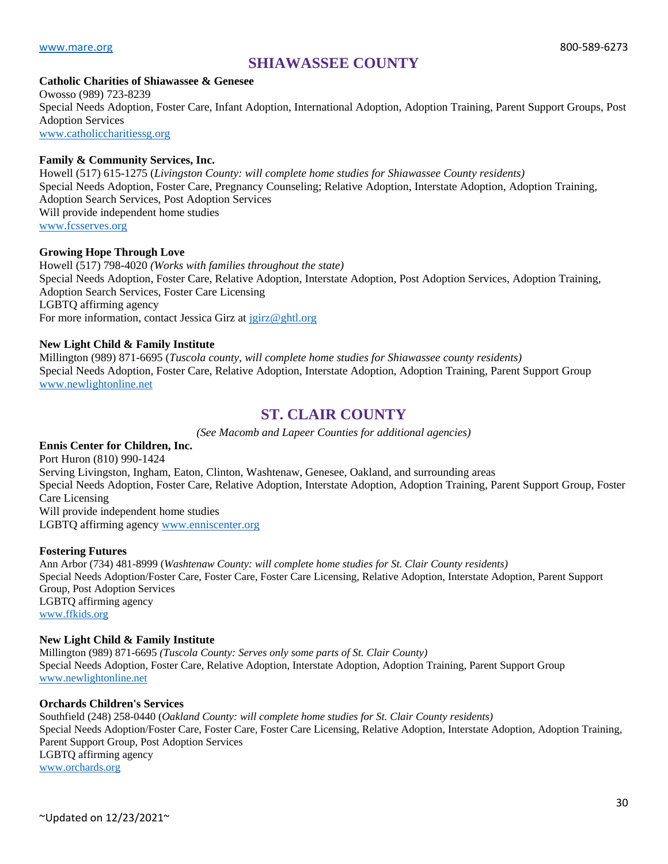# **SHIAWASSEE COUNTY**

Owosso (989) 723-8239 Special Needs Adoption, Foster Care, Infant Adoption, International Adoption, Adoption Training, Parent Support Groups, Post Adoption Services [www.catholiccharitiessg.org](http://www.catholiccharitiessg.org/)

#### **Family & Community Services, Inc.**

Howell (517) 615-1275 (*Livingston County: will complete home studies for Shiawassee County residents)* Special Needs Adoption, Foster Care, Pregnancy Counseling; Relative Adoption, Interstate Adoption, Adoption Training, Adoption Search Services, Post Adoption Services Will provide independent home studies [www.fcsserves.org](https://urldefense.proofpoint.com/v2/url?u=http-3A__www.fcsserves.org&d=DwQFAw&c=euGZstcaTDllvimEN8b7jXrwqOf-v5A_CdpgnVfiiMM&r=QmB0e6qn4GS5mBoO3pirSZwLu5aEKcrcW6DV2rHPvsk&m=P5buPibOXD0uNdjiUEeLbnuzJX87JicenESCe0SvbLY&s=K_OLAFoYTP0xs3pnI_x4eO5y5vM7QoJfbf0sJcYghiM&e=)

#### **Growing Hope Through Love**

Howell (517) 798-4020 *(Works with families throughout the state)* Special Needs Adoption, Foster Care, Relative Adoption, Interstate Adoption, Post Adoption Services, Adoption Training, Adoption Search Services, Foster Care Licensing LGBTQ affirming agency For more information, contact Jessica Girz at [jgirz@ghtl.org](mailto:jgirz@ghtl.org)

### **New Light Child & Family Institute**

Millington (989) 871-6695 (*Tuscola county, will complete home studies for Shiawassee county residents)* Special Needs Adoption, Foster Care, Relative Adoption, Interstate Adoption, Adoption Training, Parent Support Group [www.newlightonline.net](http://www.newlightonline.net/)

# **ST. CLAIR COUNTY**

*(See Macomb and Lapeer Counties for additional agencies)*

**Ennis Center for Children, Inc.** Port Huron (810) 990-1424 Serving Livingston, Ingham, Eaton, Clinton, Washtenaw, Genesee, Oakland, and surrounding areas Special Needs Adoption, Foster Care, Relative Adoption, Interstate Adoption, Adoption Training, Parent Support Group, Foster Care Licensing Will provide independent home studies LGBTQ affirming agency [www.enniscenter.org](http://www.enniscenter.org/)

#### **Fostering Futures**

Ann Arbor (734) 481-8999 (*Washtenaw County: will complete home studies for St. Clair County residents)* Special Needs Adoption/Foster Care, Foster Care, Foster Care Licensing, Relative Adoption, Interstate Adoption, Parent Support Group, Post Adoption Services LGBTQ affirming agency [www.ffkids.org](http://www.ffkids.org/)

#### **New Light Child & Family Institute**

Millington (989) 871-6695 *(Tuscola County: Serves only some parts of St. Clair County)* Special Needs Adoption, Foster Care, Relative Adoption, Interstate Adoption, Adoption Training, Parent Support Group [www.newlightonline.net](http://www.newlightonline.net/)

### **Orchards Children's Services**

Southfield (248) 258-0440 (*Oakland County: will complete home studies for St. Clair County residents)* Special Needs Adoption/Foster Care, Foster Care, Foster Care Licensing, Relative Adoption, Interstate Adoption, Adoption Training, Parent Support Group, Post Adoption Services LGBTQ affirming agency [www.orchards.org](http://www.orchards.org/)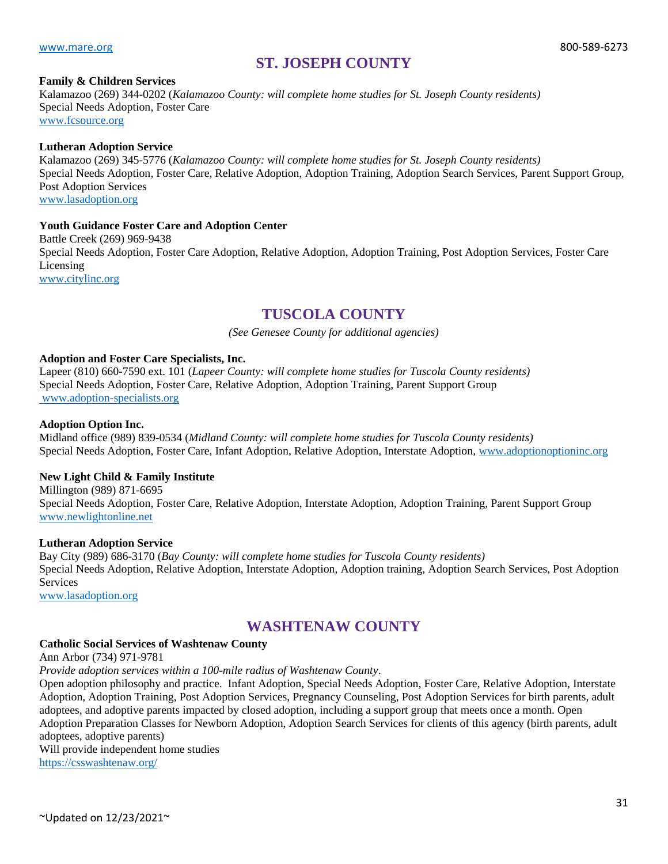# **ST. JOSEPH COUNTY**

### **Family & Children Services**

Kalamazoo (269) 344-0202 (*Kalamazoo County: will complete home studies for St. Joseph County residents)* Special Needs Adoption, Foster Care [www.fcsource.org](http://www.fcsource.org/)

### **Lutheran Adoption Service**

Kalamazoo (269) 345-5776 (*Kalamazoo County: will complete home studies for St. Joseph County residents)* Special Needs Adoption, Foster Care, Relative Adoption, Adoption Training, Adoption Search Services, Parent Support Group, Post Adoption Services [www.lasadoption.org](http://www.lasadoption.org/)

### **Youth Guidance Foster Care and Adoption Center**

Battle Creek (269) 969-9438 Special Needs Adoption, Foster Care Adoption, Relative Adoption, Adoption Training, Post Adoption Services, Foster Care Licensing [www.citylinc.org](http://www.citylinc.org/)

# **TUSCOLA COUNTY**

*(See Genesee County for additional agencies)*

### **Adoption and Foster Care Specialists, Inc.**

Lapeer (810) 660-7590 ext. 101 (*Lapeer County: will complete home studies for Tuscola County residents)* Special Needs Adoption, Foster Care, Relative Adoption, Adoption Training, Parent Support Group [www.adoption-specialists.org](http://www.adoption-specialists.org/)

### **Adoption Option Inc.**

Midland office (989) 839-0534 (*Midland County: will complete home studies for Tuscola County residents)* Special Needs Adoption, Foster Care, Infant Adoption, Relative Adoption, Interstate Adoption, [www.adoptionoptioninc.org](http://www.adoptionoptioninc.org/)

#### **New Light Child & Family Institute**

Millington (989) 871-6695 Special Needs Adoption, Foster Care, Relative Adoption, Interstate Adoption, Adoption Training, Parent Support Group [www.newlightonline.net](http://www.newlightonline.net/)

#### **Lutheran Adoption Service**

Bay City (989) 686-3170 (*Bay County: will complete home studies for Tuscola County residents)* Special Needs Adoption, Relative Adoption, Interstate Adoption, Adoption training, Adoption Search Services, Post Adoption Services

[www.lasadoption.org](http://www.lasadoption.org/)

# **WASHTENAW COUNTY**

#### **Catholic Social Services of Washtenaw County**

Ann Arbor (734) 971-9781

*Provide adoption services within a 100-mile radius of Washtenaw County*.

Open adoption philosophy and practice. Infant Adoption, Special Needs Adoption, Foster Care, Relative Adoption, Interstate Adoption, Adoption Training, Post Adoption Services, Pregnancy Counseling, Post Adoption Services for birth parents, adult adoptees, and adoptive parents impacted by closed adoption, including a support group that meets once a month. Open Adoption Preparation Classes for Newborn Adoption, Adoption Search Services for clients of this agency (birth parents, adult adoptees, adoptive parents)

Will provide independent home studies

<https://csswashtenaw.org/>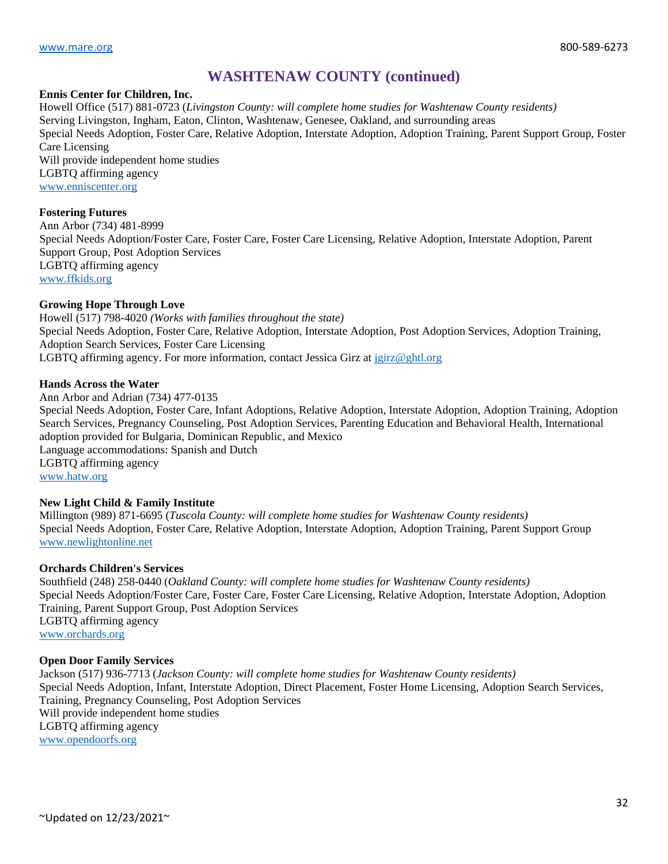# **WASHTENAW COUNTY (continued)**

### **Ennis Center for Children, Inc.**

Howell Office (517) 881-0723 (*Livingston County: will complete home studies for Washtenaw County residents)* Serving Livingston, Ingham, Eaton, Clinton, Washtenaw, Genesee, Oakland, and surrounding areas Special Needs Adoption, Foster Care, Relative Adoption, Interstate Adoption, Adoption Training, Parent Support Group, Foster Care Licensing Will provide independent home studies LGBTQ affirming agency [www.enniscenter.org](https://urldefense.proofpoint.com/v2/url?u=http-3A__www.enniscenter.org&d=DwQFAw&c=euGZstcaTDllvimEN8b7jXrwqOf-v5A_CdpgnVfiiMM&r=QmB0e6qn4GS5mBoO3pirSZwLu5aEKcrcW6DV2rHPvsk&m=HXVrhz7JNH_8Y6rx8eCAZcBvdcwnpjmHF_yx-JFJbKg&s=cqZTwLKEmKPQdmDtNG9rwGrctHHKDNpQfIvnGPxuC3o&e=)

### **Fostering Futures**

Ann Arbor (734) 481-8999 Special Needs Adoption/Foster Care, Foster Care, Foster Care Licensing, Relative Adoption, Interstate Adoption, Parent Support Group, Post Adoption Services LGBTQ affirming agency [www.ffkids.org](http://www.ffkids.org/)

# **Growing Hope Through Love**

Howell (517) 798-4020 *(Works with families throughout the state)* Special Needs Adoption, Foster Care, Relative Adoption, Interstate Adoption, Post Adoption Services, Adoption Training, Adoption Search Services, Foster Care Licensing LGBTQ affirming agency. For more information, contact Jessica Girz at  $j$ girz@ghtl.org

### **Hands Across the Water**

Ann Arbor and Adrian (734) 477-0135 Special Needs Adoption, Foster Care, Infant Adoptions, Relative Adoption, Interstate Adoption, Adoption Training, Adoption Search Services, Pregnancy Counseling, Post Adoption Services, Parenting Education and Behavioral Health, International adoption provided for Bulgaria, Dominican Republic, and Mexico Language accommodations: Spanish and Dutch LGBTQ affirming agency [www.hatw.org](http://www.hatw.org/)

# **New Light Child & Family Institute**

Millington (989) 871-6695 (*Tuscola County: will complete home studies for Washtenaw County residents)* Special Needs Adoption, Foster Care, Relative Adoption, Interstate Adoption, Adoption Training, Parent Support Group [www.newlightonline.net](http://www.newlightonline.net/)

# **Orchards Children's Services**

Southfield (248) 258-0440 (*Oakland County: will complete home studies for Washtenaw County residents)* Special Needs Adoption/Foster Care, Foster Care, Foster Care Licensing, Relative Adoption, Interstate Adoption, Adoption Training, Parent Support Group, Post Adoption Services LGBTQ affirming agency [www.orchards.org](http://www.orchards.org/)

#### **Open Door Family Services**

Jackson (517) 936-7713 (*Jackson County: will complete home studies for Washtenaw County residents)* Special Needs Adoption, Infant, Interstate Adoption, Direct Placement, Foster Home Licensing, Adoption Search Services, Training, Pregnancy Counseling, Post Adoption Services Will provide independent home studies LGBTQ affirming agency [www.opendoorfs.org](http://www.opendoorfs.org/)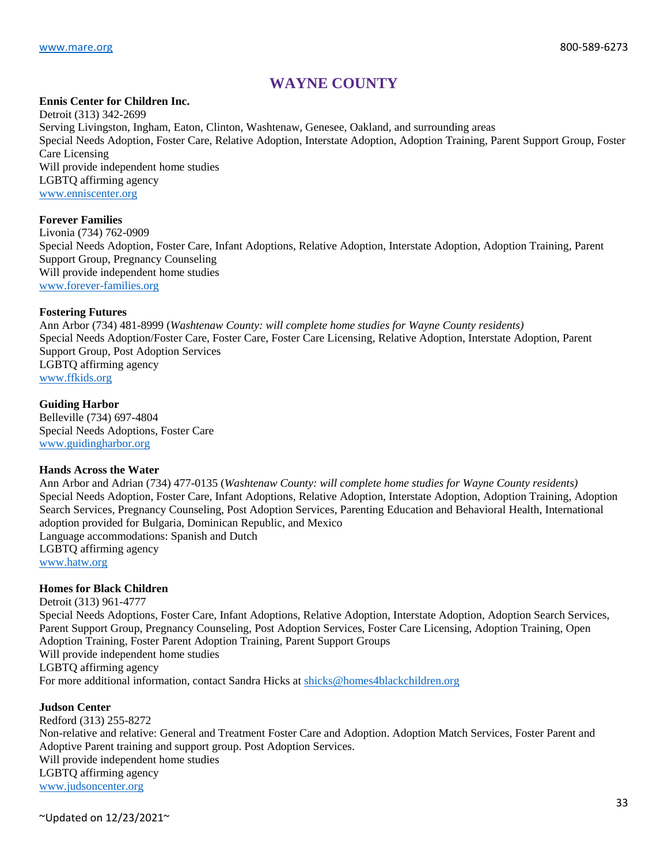# **WAYNE COUNTY**

### **Ennis Center for Children Inc.**

Detroit (313) 342-2699 Serving Livingston, Ingham, Eaton, Clinton, Washtenaw, Genesee, Oakland, and surrounding areas Special Needs Adoption, Foster Care, Relative Adoption, Interstate Adoption, Adoption Training, Parent Support Group, Foster Care Licensing Will provide independent home studies LGBTQ affirming agency [www.enniscenter.org](http://www.enniscenter.org/)

### **Forever Families**

Livonia (734) 762-0909 Special Needs Adoption, Foster Care, Infant Adoptions, Relative Adoption, Interstate Adoption, Adoption Training, Parent Support Group, Pregnancy Counseling Will provide independent home studies [www.forever-families.org](http://www.forever-families.org/)

### **Fostering Futures**

Ann Arbor (734) 481-8999 (*Washtenaw County: will complete home studies for Wayne County residents)* Special Needs Adoption/Foster Care, Foster Care, Foster Care Licensing, Relative Adoption, Interstate Adoption, Parent Support Group, Post Adoption Services LGBTQ affirming agency [www.ffkids.org](http://www.ffkids.org/)

### **Guiding Harbor**

Belleville (734) 697-4804 Special Needs Adoptions, Foster Care [www.guidingharbor.org](http://www.guidingharbor.org/)

#### **Hands Across the Water**

Ann Arbor and Adrian (734) 477-0135 (*Washtenaw County: will complete home studies for Wayne County residents)* Special Needs Adoption, Foster Care, Infant Adoptions, Relative Adoption, Interstate Adoption, Adoption Training, Adoption Search Services, Pregnancy Counseling, Post Adoption Services, Parenting Education and Behavioral Health, International adoption provided for Bulgaria, Dominican Republic, and Mexico Language accommodations: Spanish and Dutch LGBTQ affirming agency [www.hatw.org](http://www.hatw.org/)

#### **Homes for Black Children**

Detroit (313) 961-4777 Special Needs Adoptions, Foster Care, Infant Adoptions, Relative Adoption, Interstate Adoption, Adoption Search Services, Parent Support Group, Pregnancy Counseling, Post Adoption Services, Foster Care Licensing, Adoption Training, Open Adoption Training, Foster Parent Adoption Training, Parent Support Groups Will provide independent home studies LGBTQ affirming agency For more additional information, contact Sandra Hicks at [shicks@homes4blackchildren.org](mailto:shicks@homes4blackchildren.org)

### **Judson Center**

Redford (313) 255-8272 Non-relative and relative: General and Treatment Foster Care and Adoption. Adoption Match Services, Foster Parent and Adoptive Parent training and support group. Post Adoption Services. Will provide independent home studies LGBTQ affirming agency [www.judsoncenter.org](http://www.judsoncenter.org/)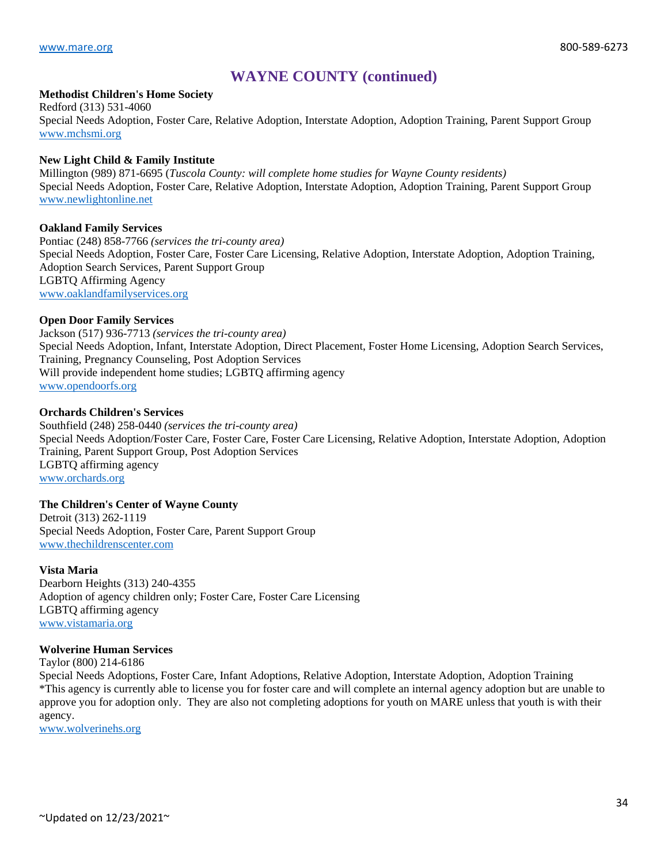# **WAYNE COUNTY (continued)**

### **Methodist Children's Home Society**

Redford (313) 531-4060 Special Needs Adoption, Foster Care, Relative Adoption, Interstate Adoption, Adoption Training, Parent Support Group [www.mchsmi.org](http://www.mchsmi.org/)

### **New Light Child & Family Institute**

Millington (989) 871-6695 (*Tuscola County: will complete home studies for Wayne County residents)* Special Needs Adoption, Foster Care, Relative Adoption, Interstate Adoption, Adoption Training, Parent Support Group [www.newlightonline.net](http://www.newlightonline.net/)

# **Oakland Family Services**

Pontiac (248) 858-7766 *(services the tri-county area)* Special Needs Adoption, Foster Care, Foster Care Licensing, Relative Adoption, Interstate Adoption, Adoption Training, Adoption Search Services, Parent Support Group LGBTQ Affirming Agency [www.oaklandfamilyservices.org](http://www.oaklandfamilyservices.org/)

# **Open Door Family Services**

Jackson (517) 936-7713 *(services the tri-county area)* Special Needs Adoption, Infant, Interstate Adoption, Direct Placement, Foster Home Licensing, Adoption Search Services, Training, Pregnancy Counseling, Post Adoption Services Will provide independent home studies; LGBTQ affirming agency [www.opendoorfs.org](http://www.opendoorfs.org/)

### **Orchards Children's Services**

Southfield (248) 258-0440 *(services the tri-county area)* Special Needs Adoption/Foster Care, Foster Care, Foster Care Licensing, Relative Adoption, Interstate Adoption, Adoption Training, Parent Support Group, Post Adoption Services LGBTQ affirming agency [www.orchards.org](http://www.orchards.org/)

# **The Children's Center of Wayne County**

Detroit (313) 262-1119 Special Needs Adoption, Foster Care, Parent Support Group [www.thechildrenscenter.com](http://www.thechildrenscenter.com/)

#### **Vista Maria**

Dearborn Heights (313) 240-4355 Adoption of agency children only; Foster Care, Foster Care Licensing LGBTQ affirming agency www.vistamaria.or[g](http://www.vistamaria.org/)

### **Wolverine Human Services**

Taylor (800) 214-6186

Special Needs Adoptions, Foster Care, Infant Adoptions, Relative Adoption, Interstate Adoption, Adoption Training \*This agency is currently able to license you for foster care and will complete an internal agency adoption but are unable to approve you for adoption only. They are also not completing adoptions for youth on MARE unless that youth is with their agency.

[www.wolverinehs.org](http://www.wolverinehs.org/)